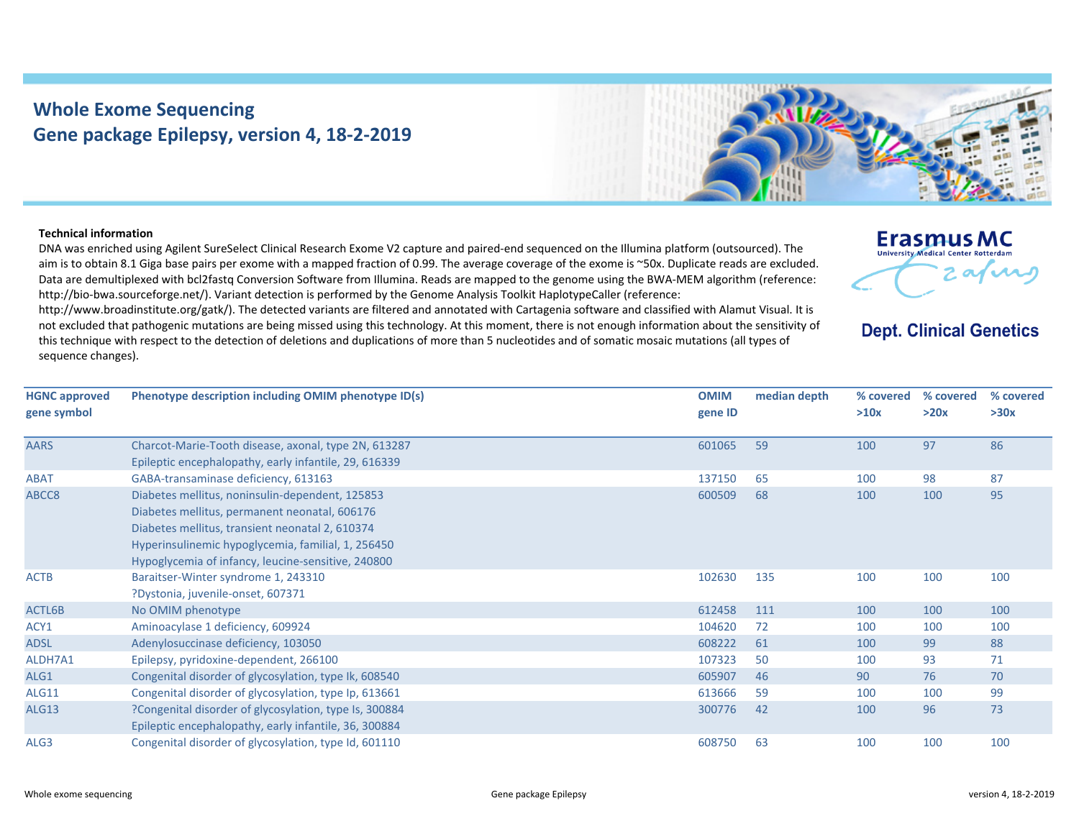## **Whole Exome Sequencing Gene package Epilepsy, version 4, 18‐2‐2019**



## **Technical information**

DNA was enriched using Agilent SureSelect Clinical Research Exome V2 capture and paired‐end sequenced on the Illumina platform (outsourced). The aim is to obtain 8.1 Giga base pairs per exome with <sup>a</sup> mapped fraction of 0.99. The average coverage of the exome is ~50x. Duplicate reads are excluded. Data are demultiplexed with bcl2fastq Conversion Software from Illumina. Reads are mapped to the genome using the BWA‐MEM algorithm (reference: http://bio-bwa.sourceforge.net/). Variant detection is performed by the Genome Analysis Toolkit HaplotypeCaller (reference:

http://www.broadinstitute.org/gatk/). The detected variants are filtered and annotated with Cartagenia software and classified with Alamut Visual. It is not excluded that pathogenic mutations are being missed using this technology. At this moment, there is not enough information about the sensitivity of this technique with respect to the detection of deletions and duplications of more than 5 nucleotides and of somatic mosaic mutations (all types of sequence changes).



**Dept. Clinical Genetics** 

| <b>HGNC approved</b><br>gene symbol | Phenotype description including OMIM phenotype ID(s)   | <b>OMIM</b><br>gene ID | median depth | % covered<br>>10x | % covered<br>>20x | % covered<br>>30x |
|-------------------------------------|--------------------------------------------------------|------------------------|--------------|-------------------|-------------------|-------------------|
| <b>AARS</b>                         | Charcot-Marie-Tooth disease, axonal, type 2N, 613287   | 601065                 | 59           | 100               | 97                | 86                |
|                                     | Epileptic encephalopathy, early infantile, 29, 616339  |                        |              |                   |                   |                   |
| <b>ABAT</b>                         | GABA-transaminase deficiency, 613163                   | 137150                 | 65           | 100               | 98                | 87                |
| ABCC8                               | Diabetes mellitus, noninsulin-dependent, 125853        | 600509                 | 68           | 100               | 100               | 95                |
|                                     | Diabetes mellitus, permanent neonatal, 606176          |                        |              |                   |                   |                   |
|                                     | Diabetes mellitus, transient neonatal 2, 610374        |                        |              |                   |                   |                   |
|                                     | Hyperinsulinemic hypoglycemia, familial, 1, 256450     |                        |              |                   |                   |                   |
|                                     | Hypoglycemia of infancy, leucine-sensitive, 240800     |                        |              |                   |                   |                   |
| <b>ACTB</b>                         | Baraitser-Winter syndrome 1, 243310                    | 102630                 | 135          | 100               | 100               | 100               |
|                                     | ?Dystonia, juvenile-onset, 607371                      |                        |              |                   |                   |                   |
| ACTL6B                              | No OMIM phenotype                                      | 612458                 | 111          | 100               | 100               | 100               |
| ACY1                                | Aminoacylase 1 deficiency, 609924                      | 104620                 | 72           | 100               | 100               | 100               |
| <b>ADSL</b>                         | Adenylosuccinase deficiency, 103050                    | 608222                 | 61           | 100               | 99                | 88                |
| ALDH7A1                             | Epilepsy, pyridoxine-dependent, 266100                 | 107323                 | 50           | 100               | 93                | 71                |
| ALG1                                | Congenital disorder of glycosylation, type Ik, 608540  | 605907                 | 46           | 90                | 76                | 70                |
| ALG11                               | Congenital disorder of glycosylation, type Ip, 613661  | 613666                 | 59           | 100               | 100               | 99                |
| <b>ALG13</b>                        | ?Congenital disorder of glycosylation, type Is, 300884 | 300776                 | 42           | 100               | 96                | 73                |
|                                     | Epileptic encephalopathy, early infantile, 36, 300884  |                        |              |                   |                   |                   |
| ALG3                                | Congenital disorder of glycosylation, type Id, 601110  | 608750                 | 63           | 100               | 100               | 100               |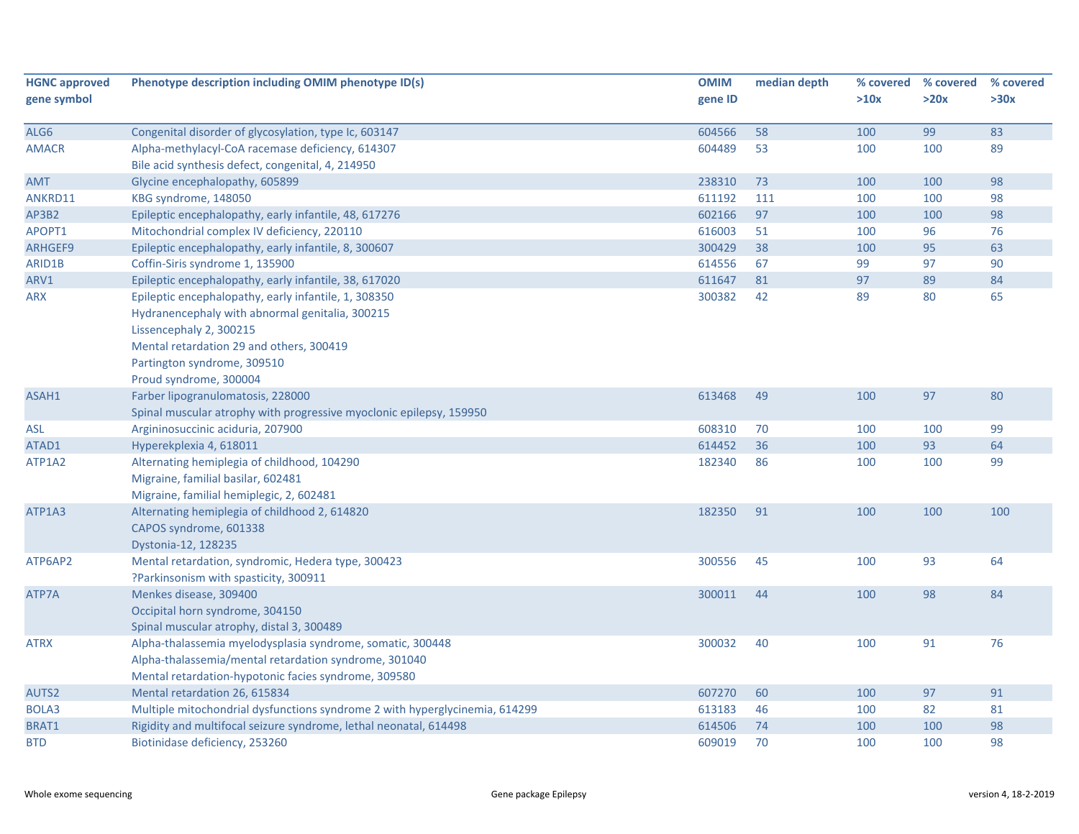| <b>HGNC approved</b> | Phenotype description including OMIM phenotype ID(s)                                                                                                                                                                                    | <b>OMIM</b> | median depth | % covered | % covered | % covered |
|----------------------|-----------------------------------------------------------------------------------------------------------------------------------------------------------------------------------------------------------------------------------------|-------------|--------------|-----------|-----------|-----------|
| gene symbol          |                                                                                                                                                                                                                                         | gene ID     |              | >10x      | >20x      | >30x      |
| ALG6                 | Congenital disorder of glycosylation, type Ic, 603147                                                                                                                                                                                   | 604566      | 58           | 100       | 99        | 83        |
| <b>AMACR</b>         | Alpha-methylacyl-CoA racemase deficiency, 614307                                                                                                                                                                                        | 604489      | 53           | 100       | 100       | 89        |
|                      | Bile acid synthesis defect, congenital, 4, 214950                                                                                                                                                                                       |             |              |           |           |           |
| <b>AMT</b>           | Glycine encephalopathy, 605899                                                                                                                                                                                                          | 238310      | 73           | 100       | 100       | 98        |
| ANKRD11              | KBG syndrome, 148050                                                                                                                                                                                                                    | 611192      | 111          | 100       | 100       | 98        |
| AP3B2                | Epileptic encephalopathy, early infantile, 48, 617276                                                                                                                                                                                   | 602166      | 97           | 100       | 100       | 98        |
| APOPT1               | Mitochondrial complex IV deficiency, 220110                                                                                                                                                                                             | 616003      | 51           | 100       | 96        | 76        |
| ARHGEF9              | Epileptic encephalopathy, early infantile, 8, 300607                                                                                                                                                                                    | 300429      | 38           | 100       | 95        | 63        |
| ARID1B               | Coffin-Siris syndrome 1, 135900                                                                                                                                                                                                         | 614556      | 67           | 99        | 97        | 90        |
| ARV1                 | Epileptic encephalopathy, early infantile, 38, 617020                                                                                                                                                                                   | 611647      | 81           | 97        | 89        | 84        |
| <b>ARX</b>           | Epileptic encephalopathy, early infantile, 1, 308350<br>Hydranencephaly with abnormal genitalia, 300215<br>Lissencephaly 2, 300215<br>Mental retardation 29 and others, 300419<br>Partington syndrome, 309510<br>Proud syndrome, 300004 | 300382      | 42           | 89        | 80        | 65        |
| ASAH1                | Farber lipogranulomatosis, 228000<br>Spinal muscular atrophy with progressive myoclonic epilepsy, 159950                                                                                                                                | 613468      | 49           | 100       | 97        | 80        |
| <b>ASL</b>           | Argininosuccinic aciduria, 207900                                                                                                                                                                                                       | 608310      | 70           | 100       | 100       | 99        |
| ATAD1                | Hyperekplexia 4, 618011                                                                                                                                                                                                                 | 614452      | 36           | 100       | 93        | 64        |
| ATP1A2               | Alternating hemiplegia of childhood, 104290<br>Migraine, familial basilar, 602481<br>Migraine, familial hemiplegic, 2, 602481                                                                                                           | 182340      | 86           | 100       | 100       | 99        |
| ATP1A3               | Alternating hemiplegia of childhood 2, 614820<br>CAPOS syndrome, 601338<br>Dystonia-12, 128235                                                                                                                                          | 182350      | 91           | 100       | 100       | 100       |
| ATP6AP2              | Mental retardation, syndromic, Hedera type, 300423<br>?Parkinsonism with spasticity, 300911                                                                                                                                             | 300556      | 45           | 100       | 93        | 64        |
| ATP7A                | Menkes disease, 309400<br>Occipital horn syndrome, 304150<br>Spinal muscular atrophy, distal 3, 300489                                                                                                                                  | 300011      | 44           | 100       | 98        | 84        |
| <b>ATRX</b>          | Alpha-thalassemia myelodysplasia syndrome, somatic, 300448<br>Alpha-thalassemia/mental retardation syndrome, 301040<br>Mental retardation-hypotonic facies syndrome, 309580                                                             | 300032      | 40           | 100       | 91        | 76        |
| AUTS2                | Mental retardation 26, 615834                                                                                                                                                                                                           | 607270      | 60           | 100       | 97        | 91        |
| BOLA3                | Multiple mitochondrial dysfunctions syndrome 2 with hyperglycinemia, 614299                                                                                                                                                             | 613183      | 46           | 100       | 82        | 81        |
| BRAT1                | Rigidity and multifocal seizure syndrome, lethal neonatal, 614498                                                                                                                                                                       | 614506      | 74           | 100       | 100       | 98        |
| <b>BTD</b>           | Biotinidase deficiency, 253260                                                                                                                                                                                                          | 609019      | 70           | 100       | 100       | 98        |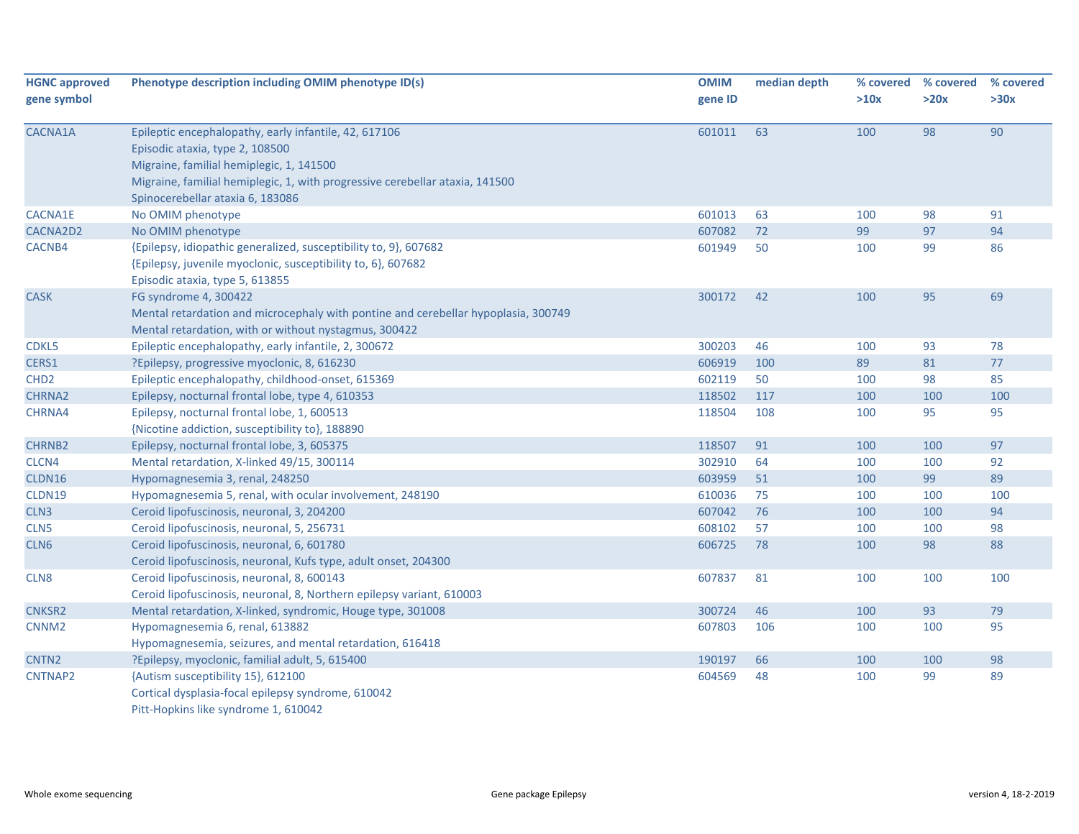| <b>HGNC approved</b> | Phenotype description including OMIM phenotype ID(s)                               | <b>OMIM</b> | median depth | % covered | % covered | % covered |
|----------------------|------------------------------------------------------------------------------------|-------------|--------------|-----------|-----------|-----------|
| gene symbol          |                                                                                    | gene ID     |              | >10x      | >20x      | >30x      |
| CACNA1A              | Epileptic encephalopathy, early infantile, 42, 617106                              | 601011      | 63           | 100       | 98        | 90        |
|                      | Episodic ataxia, type 2, 108500                                                    |             |              |           |           |           |
|                      | Migraine, familial hemiplegic, 1, 141500                                           |             |              |           |           |           |
|                      | Migraine, familial hemiplegic, 1, with progressive cerebellar ataxia, 141500       |             |              |           |           |           |
|                      | Spinocerebellar ataxia 6, 183086                                                   |             |              |           |           |           |
| CACNA1E              | No OMIM phenotype                                                                  | 601013      | 63           | 100       | 98        | 91        |
| CACNA2D2             | No OMIM phenotype                                                                  | 607082      | 72           | 99        | 97        | 94        |
| CACNB4               | {Epilepsy, idiopathic generalized, susceptibility to, 9}, 607682                   | 601949      | 50           | 100       | 99        | 86        |
|                      | {Epilepsy, juvenile myoclonic, susceptibility to, 6}, 607682                       |             |              |           |           |           |
|                      | Episodic ataxia, type 5, 613855                                                    |             |              |           |           |           |
| <b>CASK</b>          | FG syndrome 4, 300422                                                              | 300172      | 42           | 100       | 95        | 69        |
|                      | Mental retardation and microcephaly with pontine and cerebellar hypoplasia, 300749 |             |              |           |           |           |
|                      | Mental retardation, with or without nystagmus, 300422                              |             |              |           |           |           |
| CDKL5                | Epileptic encephalopathy, early infantile, 2, 300672                               | 300203      | 46           | 100       | 93        | 78        |
| CERS1                | ?Epilepsy, progressive myoclonic, 8, 616230                                        | 606919      | 100          | 89        | 81        | 77        |
| CHD <sub>2</sub>     | Epileptic encephalopathy, childhood-onset, 615369                                  | 602119      | 50           | 100       | 98        | 85        |
| CHRNA2               | Epilepsy, nocturnal frontal lobe, type 4, 610353                                   | 118502      | 117          | 100       | 100       | 100       |
| CHRNA4               | Epilepsy, nocturnal frontal lobe, 1, 600513                                        | 118504      | 108          | 100       | 95        | 95        |
|                      | {Nicotine addiction, susceptibility to}, 188890                                    |             |              |           |           |           |
| <b>CHRNB2</b>        | Epilepsy, nocturnal frontal lobe, 3, 605375                                        | 118507      | 91           | 100       | 100       | 97        |
| CLCN4                | Mental retardation, X-linked 49/15, 300114                                         | 302910      | 64           | 100       | 100       | 92        |
| CLDN16               | Hypomagnesemia 3, renal, 248250                                                    | 603959      | 51           | 100       | 99        | 89        |
| CLDN19               | Hypomagnesemia 5, renal, with ocular involvement, 248190                           | 610036      | 75           | 100       | 100       | 100       |
| CLN <sub>3</sub>     | Ceroid lipofuscinosis, neuronal, 3, 204200                                         | 607042      | 76           | 100       | 100       | 94        |
| CLN <sub>5</sub>     | Ceroid lipofuscinosis, neuronal, 5, 256731                                         | 608102      | 57           | 100       | 100       | 98        |
| CLN6                 | Ceroid lipofuscinosis, neuronal, 6, 601780                                         | 606725      | 78           | 100       | 98        | 88        |
|                      | Ceroid lipofuscinosis, neuronal, Kufs type, adult onset, 204300                    |             |              |           |           |           |
| CLN8                 | Ceroid lipofuscinosis, neuronal, 8, 600143                                         | 607837      | 81           | 100       | 100       | 100       |
|                      | Ceroid lipofuscinosis, neuronal, 8, Northern epilepsy variant, 610003              |             |              |           |           |           |
| <b>CNKSR2</b>        | Mental retardation, X-linked, syndromic, Houge type, 301008                        | 300724      | 46           | 100       | 93        | 79        |
| CNNM <sub>2</sub>    | Hypomagnesemia 6, renal, 613882                                                    | 607803      | 106          | 100       | 100       | 95        |
|                      | Hypomagnesemia, seizures, and mental retardation, 616418                           |             |              |           |           |           |
| CNTN <sub>2</sub>    | ?Epilepsy, myoclonic, familial adult, 5, 615400                                    | 190197      | 66           | 100       | 100       | 98        |
| CNTNAP2              | {Autism susceptibility 15}, 612100                                                 | 604569      | 48           | 100       | 99        | 89        |
|                      | Cortical dysplasia-focal epilepsy syndrome, 610042                                 |             |              |           |           |           |
|                      | Pitt-Hopkins like syndrome 1, 610042                                               |             |              |           |           |           |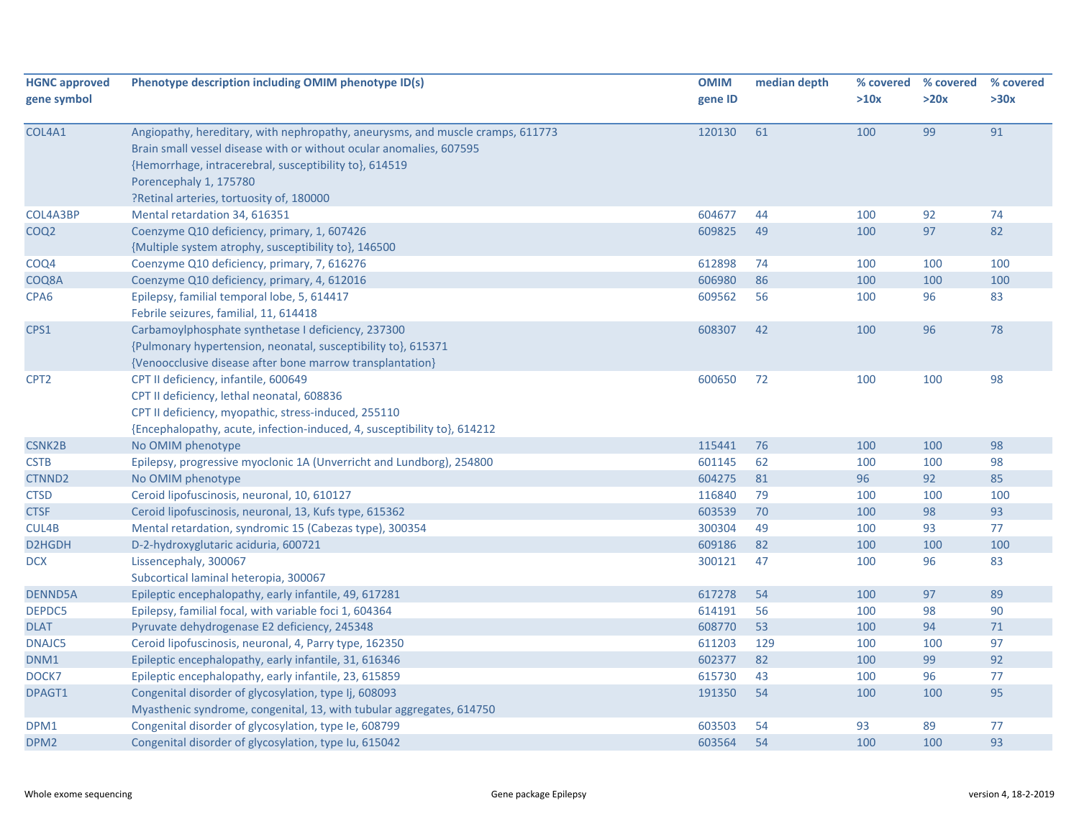| <b>HGNC approved</b><br>gene symbol | Phenotype description including OMIM phenotype ID(s)                                                                                                                                                                                                                                  | <b>OMIM</b><br>gene ID | median depth | % covered<br>>10x | % covered<br>>20x | % covered<br>>30x |
|-------------------------------------|---------------------------------------------------------------------------------------------------------------------------------------------------------------------------------------------------------------------------------------------------------------------------------------|------------------------|--------------|-------------------|-------------------|-------------------|
| COL4A1                              | Angiopathy, hereditary, with nephropathy, aneurysms, and muscle cramps, 611773<br>Brain small vessel disease with or without ocular anomalies, 607595<br>{Hemorrhage, intracerebral, susceptibility to}, 614519<br>Porencephaly 1, 175780<br>?Retinal arteries, tortuosity of, 180000 | 120130                 | 61           | 100               | 99                | 91                |
| COL4A3BP                            | Mental retardation 34, 616351                                                                                                                                                                                                                                                         | 604677                 | 44           | 100               | 92                | 74                |
| COQ <sub>2</sub>                    | Coenzyme Q10 deficiency, primary, 1, 607426<br>{Multiple system atrophy, susceptibility to}, 146500                                                                                                                                                                                   | 609825                 | 49           | 100               | 97                | 82                |
| COQ4                                | Coenzyme Q10 deficiency, primary, 7, 616276                                                                                                                                                                                                                                           | 612898                 | 74           | 100               | 100               | 100               |
| COQ8A                               | Coenzyme Q10 deficiency, primary, 4, 612016                                                                                                                                                                                                                                           | 606980                 | 86           | 100               | 100               | 100               |
| CPA <sub>6</sub>                    | Epilepsy, familial temporal lobe, 5, 614417<br>Febrile seizures, familial, 11, 614418                                                                                                                                                                                                 | 609562                 | 56           | 100               | 96                | 83                |
| CPS1                                | Carbamoylphosphate synthetase I deficiency, 237300<br>{Pulmonary hypertension, neonatal, susceptibility to}, 615371<br>{Venoocclusive disease after bone marrow transplantation}                                                                                                      | 608307                 | 42           | 100               | 96                | 78                |
| CPT <sub>2</sub>                    | CPT II deficiency, infantile, 600649<br>CPT II deficiency, lethal neonatal, 608836<br>CPT II deficiency, myopathic, stress-induced, 255110<br>{Encephalopathy, acute, infection-induced, 4, susceptibility to}, 614212                                                                | 600650                 | 72           | 100               | 100               | 98                |
| <b>CSNK2B</b>                       | No OMIM phenotype                                                                                                                                                                                                                                                                     | 115441                 | 76           | 100               | 100               | 98                |
| <b>CSTB</b>                         | Epilepsy, progressive myoclonic 1A (Unverricht and Lundborg), 254800                                                                                                                                                                                                                  | 601145                 | 62           | 100               | 100               | 98                |
| CTNND <sub>2</sub>                  | No OMIM phenotype                                                                                                                                                                                                                                                                     | 604275                 | 81           | 96                | 92                | 85                |
| <b>CTSD</b>                         | Ceroid lipofuscinosis, neuronal, 10, 610127                                                                                                                                                                                                                                           | 116840                 | 79           | 100               | 100               | 100               |
| <b>CTSF</b>                         | Ceroid lipofuscinosis, neuronal, 13, Kufs type, 615362                                                                                                                                                                                                                                | 603539                 | 70           | 100               | 98                | 93                |
| CUL4B                               | Mental retardation, syndromic 15 (Cabezas type), 300354                                                                                                                                                                                                                               | 300304                 | 49           | 100               | 93                | 77                |
| D2HGDH                              | D-2-hydroxyglutaric aciduria, 600721                                                                                                                                                                                                                                                  | 609186                 | 82           | 100               | 100               | 100               |
| <b>DCX</b>                          | Lissencephaly, 300067<br>Subcortical laminal heteropia, 300067                                                                                                                                                                                                                        | 300121                 | 47           | 100               | 96                | 83                |
| <b>DENND5A</b>                      | Epileptic encephalopathy, early infantile, 49, 617281                                                                                                                                                                                                                                 | 617278                 | 54           | 100               | 97                | 89                |
| DEPDC5                              | Epilepsy, familial focal, with variable foci 1, 604364                                                                                                                                                                                                                                | 614191                 | 56           | 100               | 98                | 90                |
| <b>DLAT</b>                         | Pyruvate dehydrogenase E2 deficiency, 245348                                                                                                                                                                                                                                          | 608770                 | 53           | 100               | 94                | $71\,$            |
| DNAJC5                              | Ceroid lipofuscinosis, neuronal, 4, Parry type, 162350                                                                                                                                                                                                                                | 611203                 | 129          | 100               | 100               | 97                |
| DNM1                                | Epileptic encephalopathy, early infantile, 31, 616346                                                                                                                                                                                                                                 | 602377                 | 82           | 100               | 99                | 92                |
| DOCK7                               | Epileptic encephalopathy, early infantile, 23, 615859                                                                                                                                                                                                                                 | 615730                 | 43           | 100               | 96                | 77                |
| DPAGT1                              | Congenital disorder of glycosylation, type Ij, 608093<br>Myasthenic syndrome, congenital, 13, with tubular aggregates, 614750                                                                                                                                                         | 191350                 | 54           | 100               | 100               | 95                |
| DPM1                                | Congenital disorder of glycosylation, type le, 608799                                                                                                                                                                                                                                 | 603503                 | 54           | 93                | 89                | 77                |
| DPM <sub>2</sub>                    | Congenital disorder of glycosylation, type Iu, 615042                                                                                                                                                                                                                                 | 603564                 | 54           | 100               | 100               | 93                |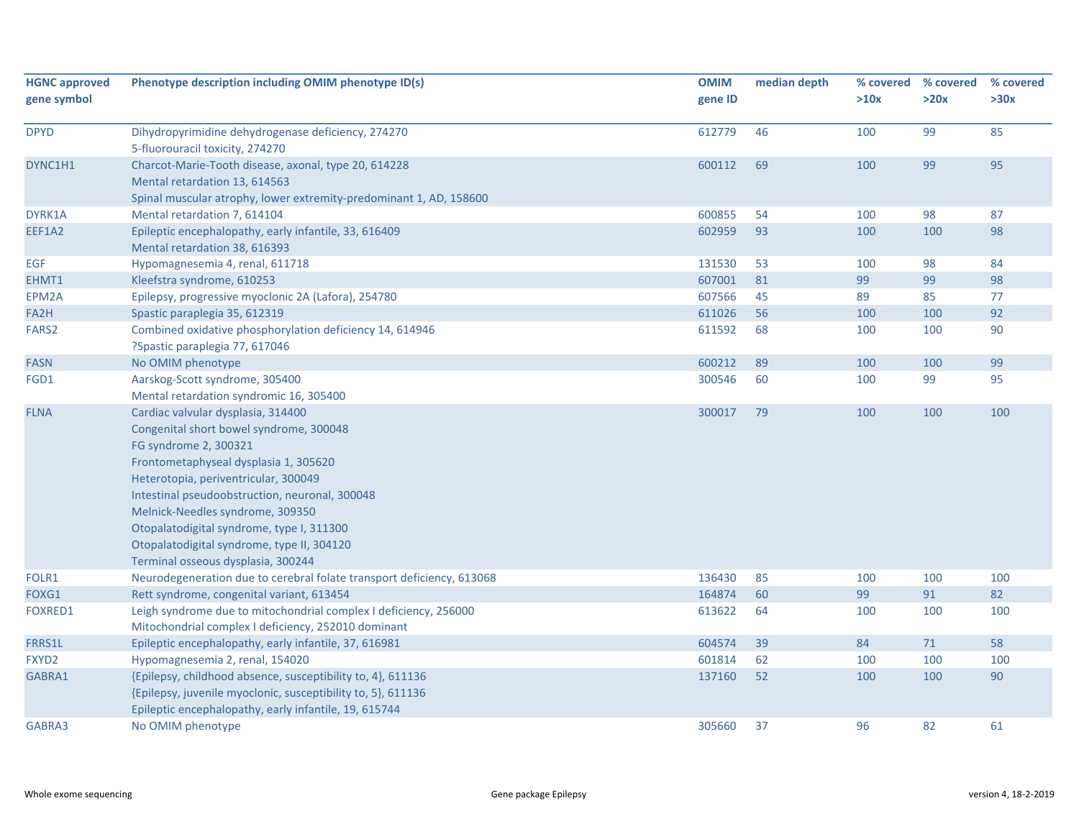| <b>HGNC approved</b> | Phenotype description including OMIM phenotype ID(s)                                   | <b>OMIM</b> | median depth |      | % covered % covered | % covered |
|----------------------|----------------------------------------------------------------------------------------|-------------|--------------|------|---------------------|-----------|
| gene symbol          |                                                                                        | gene ID     |              | >10x | >20x                | >30x      |
|                      |                                                                                        |             |              |      |                     |           |
| <b>DPYD</b>          | Dihydropyrimidine dehydrogenase deficiency, 274270                                     | 612779      | 46           | 100  | 99                  | 85        |
|                      | 5-fluorouracil toxicity, 274270                                                        |             |              |      |                     |           |
| DYNC1H1              | Charcot-Marie-Tooth disease, axonal, type 20, 614228                                   | 600112      | 69           | 100  | 99                  | 95        |
|                      | Mental retardation 13, 614563                                                          |             |              |      |                     |           |
|                      | Spinal muscular atrophy, lower extremity-predominant 1, AD, 158600                     |             |              |      |                     |           |
| DYRK1A               | Mental retardation 7, 614104                                                           | 600855      | 54           | 100  | 98                  | 87        |
| EEF1A2               | Epileptic encephalopathy, early infantile, 33, 616409<br>Mental retardation 38, 616393 | 602959      | 93           | 100  | 100                 | 98        |
| EGF                  | Hypomagnesemia 4, renal, 611718                                                        | 131530      | 53           | 100  | 98                  | 84        |
| EHMT1                | Kleefstra syndrome, 610253                                                             | 607001      | 81           | 99   | 99                  | 98        |
| EPM2A                | Epilepsy, progressive myoclonic 2A (Lafora), 254780                                    | 607566      | 45           | 89   | 85                  | 77        |
| FA2H                 | Spastic paraplegia 35, 612319                                                          | 611026      | 56           | 100  | 100                 | 92        |
| FARS <sub>2</sub>    | Combined oxidative phosphorylation deficiency 14, 614946                               | 611592      | 68           | 100  | 100                 | 90        |
|                      | ?Spastic paraplegia 77, 617046                                                         |             |              |      |                     |           |
| <b>FASN</b>          | No OMIM phenotype                                                                      | 600212      | 89           | 100  | 100                 | 99        |
| FGD1                 | Aarskog-Scott syndrome, 305400<br>Mental retardation syndromic 16, 305400              | 300546      | 60           | 100  | 99                  | 95        |
| <b>FLNA</b>          | Cardiac valvular dysplasia, 314400                                                     | 300017      | 79           | 100  | 100                 | 100       |
|                      | Congenital short bowel syndrome, 300048                                                |             |              |      |                     |           |
|                      | FG syndrome 2, 300321                                                                  |             |              |      |                     |           |
|                      | Frontometaphyseal dysplasia 1, 305620                                                  |             |              |      |                     |           |
|                      | Heterotopia, periventricular, 300049                                                   |             |              |      |                     |           |
|                      | Intestinal pseudoobstruction, neuronal, 300048                                         |             |              |      |                     |           |
|                      | Melnick-Needles syndrome, 309350                                                       |             |              |      |                     |           |
|                      | Otopalatodigital syndrome, type I, 311300                                              |             |              |      |                     |           |
|                      |                                                                                        |             |              |      |                     |           |
|                      | Otopalatodigital syndrome, type II, 304120<br>Terminal osseous dysplasia, 300244       |             |              |      |                     |           |
| FOLR1                | Neurodegeneration due to cerebral folate transport deficiency, 613068                  | 136430      | 85           | 100  | 100                 | 100       |
| FOXG1                | Rett syndrome, congenital variant, 613454                                              | 164874      | 60           | 99   | 91                  | 82        |
| <b>FOXRED1</b>       | Leigh syndrome due to mitochondrial complex I deficiency, 256000                       | 613622      | 64           | 100  | 100                 | 100       |
|                      | Mitochondrial complex I deficiency, 252010 dominant                                    |             |              |      |                     |           |
| FRRS1L               | Epileptic encephalopathy, early infantile, 37, 616981                                  | 604574      | 39           | 84   | 71                  | 58        |
| FXYD2                | Hypomagnesemia 2, renal, 154020                                                        | 601814      | 62           | 100  | 100                 | 100       |
| GABRA1               | {Epilepsy, childhood absence, susceptibility to, 4}, 611136                            | 137160      | 52           | 100  | 100                 | 90        |
|                      | {Epilepsy, juvenile myoclonic, susceptibility to, 5}, 611136                           |             |              |      |                     |           |
|                      | Epileptic encephalopathy, early infantile, 19, 615744                                  |             |              |      |                     |           |
| GABRA3               | No OMIM phenotype                                                                      | 305660      | 37           | 96   | 82                  | 61        |
|                      |                                                                                        |             |              |      |                     |           |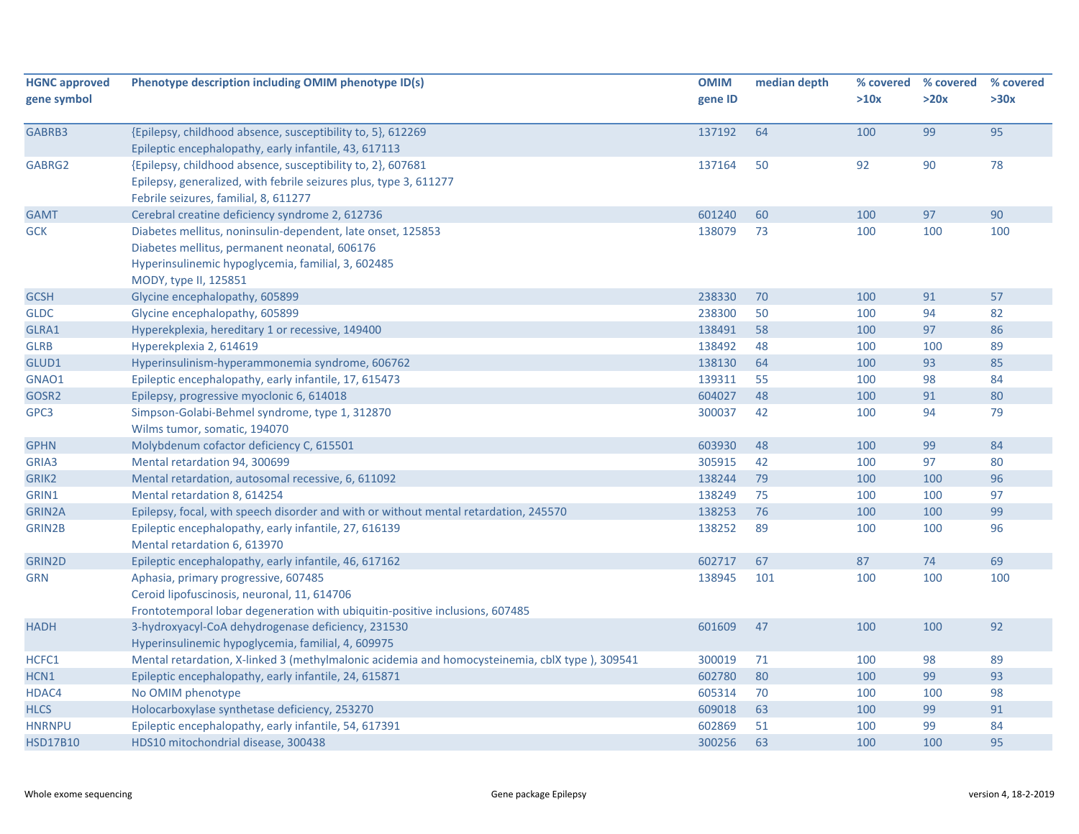| <b>HGNC approved</b> | Phenotype description including OMIM phenotype ID(s)                                                                 | <b>OMIM</b> | median depth | % covered | % covered | % covered |
|----------------------|----------------------------------------------------------------------------------------------------------------------|-------------|--------------|-----------|-----------|-----------|
| gene symbol          |                                                                                                                      | gene ID     |              | >10x      | >20x      | >30x      |
|                      |                                                                                                                      |             |              |           |           |           |
| GABRB3               | {Epilepsy, childhood absence, susceptibility to, 5}, 612269<br>Epileptic encephalopathy, early infantile, 43, 617113 | 137192      | 64           | 100       | 99        | 95        |
| GABRG2               | {Epilepsy, childhood absence, susceptibility to, 2}, 607681                                                          | 137164      | 50           | 92        | 90        | 78        |
|                      | Epilepsy, generalized, with febrile seizures plus, type 3, 611277                                                    |             |              |           |           |           |
|                      | Febrile seizures, familial, 8, 611277                                                                                |             |              |           |           |           |
| <b>GAMT</b>          | Cerebral creatine deficiency syndrome 2, 612736                                                                      | 601240      | 60           | 100       | 97        | 90        |
| <b>GCK</b>           | Diabetes mellitus, noninsulin-dependent, late onset, 125853                                                          | 138079      | 73           | 100       | 100       | 100       |
|                      | Diabetes mellitus, permanent neonatal, 606176                                                                        |             |              |           |           |           |
|                      | Hyperinsulinemic hypoglycemia, familial, 3, 602485                                                                   |             |              |           |           |           |
|                      | MODY, type II, 125851                                                                                                |             |              |           |           |           |
| <b>GCSH</b>          | Glycine encephalopathy, 605899                                                                                       | 238330      | 70           | 100       | 91        | 57        |
| <b>GLDC</b>          | Glycine encephalopathy, 605899                                                                                       | 238300      | 50           | 100       | 94        | 82        |
| GLRA1                | Hyperekplexia, hereditary 1 or recessive, 149400                                                                     | 138491      | 58           | 100       | 97        | 86        |
| <b>GLRB</b>          | Hyperekplexia 2, 614619                                                                                              | 138492      | 48           | 100       | 100       | 89        |
| GLUD1                | Hyperinsulinism-hyperammonemia syndrome, 606762                                                                      | 138130      | 64           | 100       | 93        | 85        |
| GNAO1                | Epileptic encephalopathy, early infantile, 17, 615473                                                                | 139311      | 55           | 100       | 98        | 84        |
| GOSR2                | Epilepsy, progressive myoclonic 6, 614018                                                                            | 604027      | 48           | 100       | 91        | 80        |
| GPC3                 | Simpson-Golabi-Behmel syndrome, type 1, 312870                                                                       | 300037      | 42           | 100       | 94        | 79        |
|                      | Wilms tumor, somatic, 194070                                                                                         |             |              |           |           |           |
| <b>GPHN</b>          | Molybdenum cofactor deficiency C, 615501                                                                             | 603930      | 48           | 100       | 99        | 84        |
| GRIA3                | Mental retardation 94, 300699                                                                                        | 305915      | 42           | 100       | 97        | 80        |
| GRIK2                | Mental retardation, autosomal recessive, 6, 611092                                                                   | 138244      | 79           | 100       | 100       | 96        |
| GRIN1                | Mental retardation 8, 614254                                                                                         | 138249      | 75           | 100       | 100       | 97        |
| <b>GRIN2A</b>        | Epilepsy, focal, with speech disorder and with or without mental retardation, 245570                                 | 138253      | 76           | 100       | 100       | 99        |
| GRIN2B               | Epileptic encephalopathy, early infantile, 27, 616139                                                                | 138252      | 89           | 100       | 100       | 96        |
|                      | Mental retardation 6, 613970                                                                                         |             |              |           |           |           |
| GRIN2D               | Epileptic encephalopathy, early infantile, 46, 617162                                                                | 602717      | 67           | 87        | 74        | 69        |
| <b>GRN</b>           | Aphasia, primary progressive, 607485                                                                                 | 138945      | 101          | 100       | 100       | 100       |
|                      | Ceroid lipofuscinosis, neuronal, 11, 614706                                                                          |             |              |           |           |           |
|                      | Frontotemporal lobar degeneration with ubiquitin-positive inclusions, 607485                                         |             |              |           |           |           |
| <b>HADH</b>          | 3-hydroxyacyl-CoA dehydrogenase deficiency, 231530                                                                   | 601609      | 47           | 100       | 100       | 92        |
|                      | Hyperinsulinemic hypoglycemia, familial, 4, 609975                                                                   |             |              |           |           |           |
| HCFC1                | Mental retardation, X-linked 3 (methylmalonic acidemia and homocysteinemia, cblX type), 309541                       | 300019      | 71           | 100       | 98        | 89        |
| HCN1                 | Epileptic encephalopathy, early infantile, 24, 615871                                                                | 602780      | 80           | 100       | 99        | 93        |
| HDAC4                | No OMIM phenotype                                                                                                    | 605314      | 70           | 100       | 100       | 98        |
| <b>HLCS</b>          | Holocarboxylase synthetase deficiency, 253270                                                                        | 609018      | 63           | 100       | 99        | 91        |
| <b>HNRNPU</b>        | Epileptic encephalopathy, early infantile, 54, 617391                                                                | 602869      | 51           | 100       | 99        | 84        |
| <b>HSD17B10</b>      | HDS10 mitochondrial disease, 300438                                                                                  | 300256      | 63           | 100       | 100       | 95        |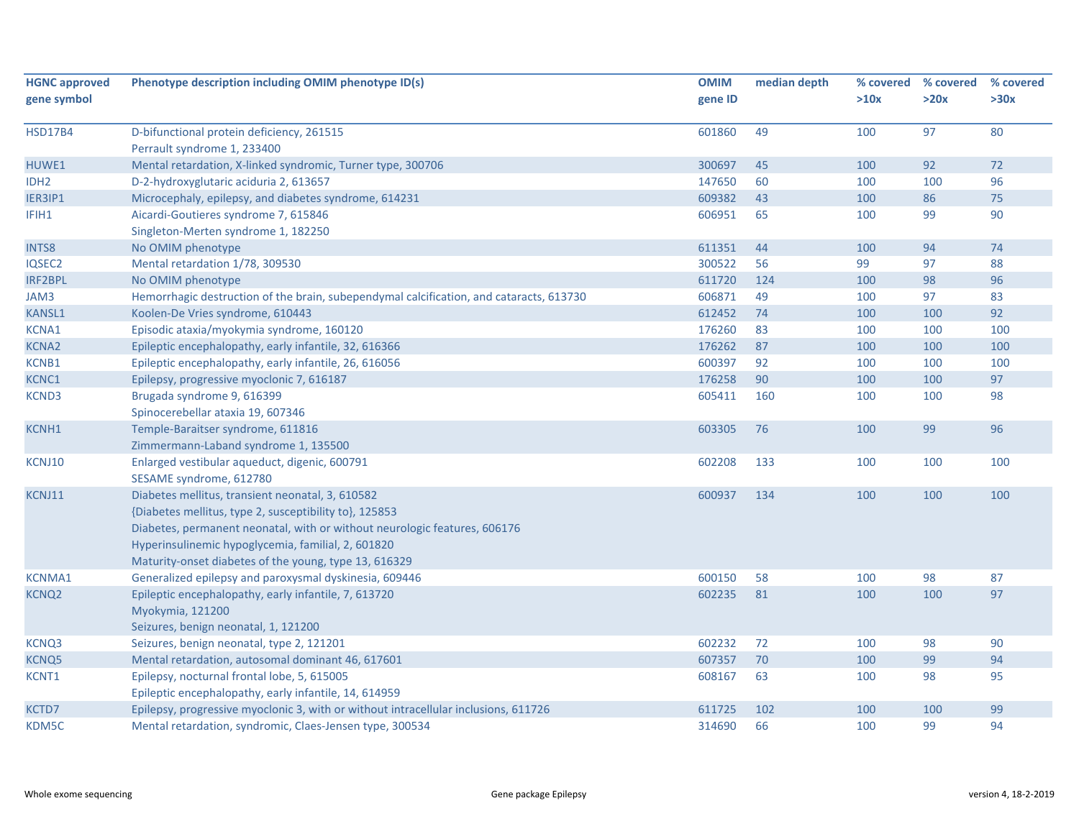| <b>HGNC approved</b><br>gene symbol | Phenotype description including OMIM phenotype ID(s)                                                                                                                                                                                                                                                   | <b>OMIM</b><br>gene ID | median depth | % covered<br>>10x | % covered<br>>20x | % covered<br>>30x |
|-------------------------------------|--------------------------------------------------------------------------------------------------------------------------------------------------------------------------------------------------------------------------------------------------------------------------------------------------------|------------------------|--------------|-------------------|-------------------|-------------------|
| <b>HSD17B4</b>                      | D-bifunctional protein deficiency, 261515<br>Perrault syndrome 1, 233400                                                                                                                                                                                                                               | 601860                 | 49           | 100               | 97                | 80                |
| HUWE1                               | Mental retardation, X-linked syndromic, Turner type, 300706                                                                                                                                                                                                                                            | 300697                 | 45           | 100               | 92                | 72                |
| IDH <sub>2</sub>                    | D-2-hydroxyglutaric aciduria 2, 613657                                                                                                                                                                                                                                                                 | 147650                 | 60           | 100               | 100               | 96                |
| IER3IP1                             | Microcephaly, epilepsy, and diabetes syndrome, 614231                                                                                                                                                                                                                                                  | 609382                 | 43           | 100               | 86                | 75                |
| IFIH1                               | Aicardi-Goutieres syndrome 7, 615846<br>Singleton-Merten syndrome 1, 182250                                                                                                                                                                                                                            | 606951                 | 65           | 100               | 99                | 90                |
| <b>INTS8</b>                        | No OMIM phenotype                                                                                                                                                                                                                                                                                      | 611351                 | 44           | 100               | 94                | 74                |
| IQSEC2                              | Mental retardation 1/78, 309530                                                                                                                                                                                                                                                                        | 300522                 | 56           | 99                | 97                | 88                |
| IRF2BPL                             | No OMIM phenotype                                                                                                                                                                                                                                                                                      | 611720                 | 124          | 100               | 98                | 96                |
| JAM3                                | Hemorrhagic destruction of the brain, subependymal calcification, and cataracts, 613730                                                                                                                                                                                                                | 606871                 | 49           | 100               | 97                | 83                |
| <b>KANSL1</b>                       | Koolen-De Vries syndrome, 610443                                                                                                                                                                                                                                                                       | 612452                 | 74           | 100               | 100               | 92                |
| KCNA1                               | Episodic ataxia/myokymia syndrome, 160120                                                                                                                                                                                                                                                              | 176260                 | 83           | 100               | 100               | 100               |
| <b>KCNA2</b>                        | Epileptic encephalopathy, early infantile, 32, 616366                                                                                                                                                                                                                                                  | 176262                 | 87           | 100               | 100               | 100               |
| <b>KCNB1</b>                        | Epileptic encephalopathy, early infantile, 26, 616056                                                                                                                                                                                                                                                  | 600397                 | 92           | 100               | 100               | 100               |
| <b>KCNC1</b>                        | Epilepsy, progressive myoclonic 7, 616187                                                                                                                                                                                                                                                              | 176258                 | 90           | 100               | 100               | 97                |
| <b>KCND3</b>                        | Brugada syndrome 9, 616399<br>Spinocerebellar ataxia 19, 607346                                                                                                                                                                                                                                        | 605411                 | 160          | 100               | 100               | 98                |
| <b>KCNH1</b>                        | Temple-Baraitser syndrome, 611816<br>Zimmermann-Laband syndrome 1, 135500                                                                                                                                                                                                                              | 603305                 | 76           | 100               | 99                | 96                |
| KCNJ10                              | Enlarged vestibular aqueduct, digenic, 600791<br>SESAME syndrome, 612780                                                                                                                                                                                                                               | 602208                 | 133          | 100               | 100               | 100               |
| KCNJ11                              | Diabetes mellitus, transient neonatal, 3, 610582<br>{Diabetes mellitus, type 2, susceptibility to}, 125853<br>Diabetes, permanent neonatal, with or without neurologic features, 606176<br>Hyperinsulinemic hypoglycemia, familial, 2, 601820<br>Maturity-onset diabetes of the young, type 13, 616329 | 600937                 | 134          | 100               | 100               | 100               |
| <b>KCNMA1</b>                       | Generalized epilepsy and paroxysmal dyskinesia, 609446                                                                                                                                                                                                                                                 | 600150                 | 58           | 100               | 98                | 87                |
| <b>KCNQ2</b>                        | Epileptic encephalopathy, early infantile, 7, 613720<br>Myokymia, 121200<br>Seizures, benign neonatal, 1, 121200                                                                                                                                                                                       | 602235                 | 81           | 100               | 100               | 97                |
| KCNQ3                               | Seizures, benign neonatal, type 2, 121201                                                                                                                                                                                                                                                              | 602232                 | 72           | 100               | 98                | 90                |
| <b>KCNQ5</b>                        | Mental retardation, autosomal dominant 46, 617601                                                                                                                                                                                                                                                      | 607357                 | 70           | 100               | 99                | 94                |
| KCNT1                               | Epilepsy, nocturnal frontal lobe, 5, 615005<br>Epileptic encephalopathy, early infantile, 14, 614959                                                                                                                                                                                                   | 608167                 | 63           | 100               | 98                | 95                |
| KCTD7                               | Epilepsy, progressive myoclonic 3, with or without intracellular inclusions, 611726                                                                                                                                                                                                                    | 611725                 | 102          | 100               | 100               | 99                |
| KDM5C                               | Mental retardation, syndromic, Claes-Jensen type, 300534                                                                                                                                                                                                                                               | 314690                 | 66           | 100               | 99                | 94                |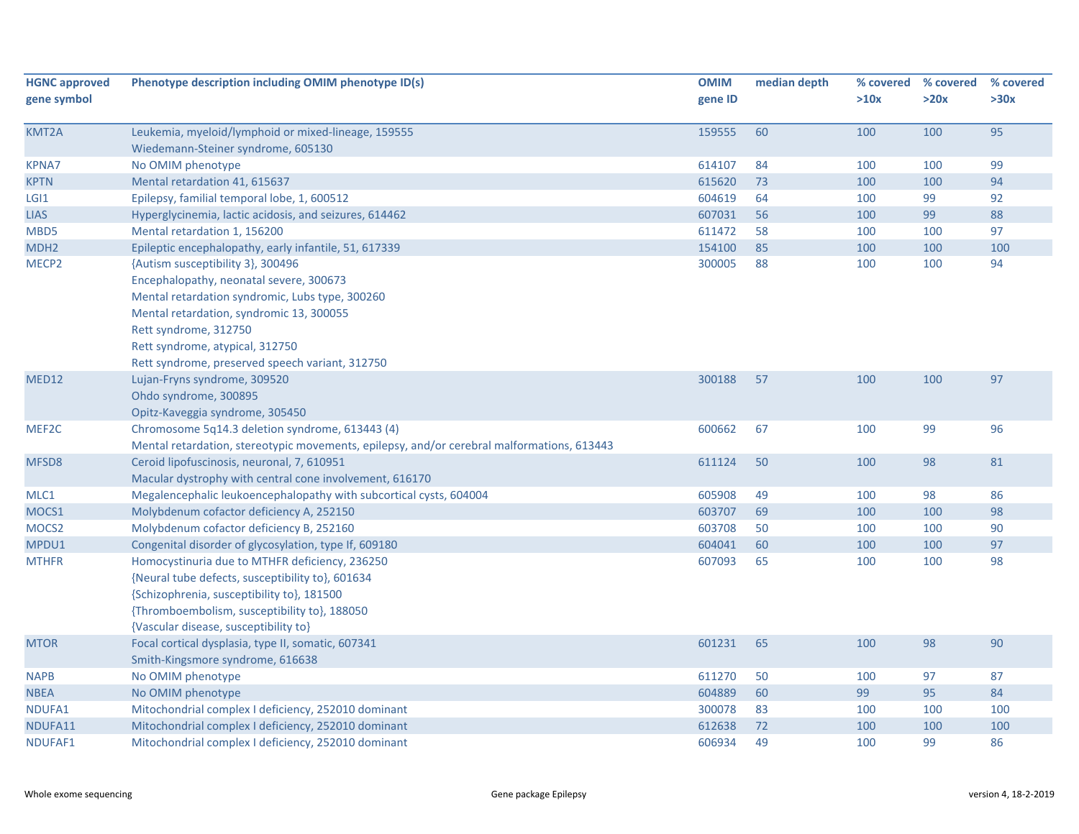| <b>HGNC approved</b> | Phenotype description including OMIM phenotype ID(s)                                       | <b>OMIM</b> | median depth | % covered | % covered | % covered |
|----------------------|--------------------------------------------------------------------------------------------|-------------|--------------|-----------|-----------|-----------|
| gene symbol          |                                                                                            | gene ID     |              | >10x      | >20x      | >30x      |
| KMT2A                | Leukemia, myeloid/lymphoid or mixed-lineage, 159555                                        | 159555      | 60           | 100       | 100       | 95        |
|                      | Wiedemann-Steiner syndrome, 605130                                                         |             |              |           |           |           |
| <b>KPNA7</b>         | No OMIM phenotype                                                                          | 614107      | 84           | 100       | 100       | 99        |
| <b>KPTN</b>          | Mental retardation 41, 615637                                                              | 615620      | 73           | 100       | 100       | 94        |
| LGI <sub>1</sub>     | Epilepsy, familial temporal lobe, 1, 600512                                                | 604619      | 64           | 100       | 99        | 92        |
| <b>LIAS</b>          | Hyperglycinemia, lactic acidosis, and seizures, 614462                                     | 607031      | 56           | 100       | 99        | 88        |
| MBD5                 | Mental retardation 1, 156200                                                               | 611472      | 58           | 100       | 100       | 97        |
| MDH <sub>2</sub>     | Epileptic encephalopathy, early infantile, 51, 617339                                      | 154100      | 85           | 100       | 100       | 100       |
| MECP <sub>2</sub>    | {Autism susceptibility 3}, 300496                                                          | 300005      | 88           | 100       | 100       | 94        |
|                      | Encephalopathy, neonatal severe, 300673                                                    |             |              |           |           |           |
|                      | Mental retardation syndromic, Lubs type, 300260                                            |             |              |           |           |           |
|                      | Mental retardation, syndromic 13, 300055                                                   |             |              |           |           |           |
|                      | Rett syndrome, 312750                                                                      |             |              |           |           |           |
|                      | Rett syndrome, atypical, 312750                                                            |             |              |           |           |           |
|                      | Rett syndrome, preserved speech variant, 312750                                            |             |              |           |           |           |
| MED12                | Lujan-Fryns syndrome, 309520                                                               | 300188      | 57           | 100       | 100       | 97        |
|                      | Ohdo syndrome, 300895                                                                      |             |              |           |           |           |
|                      | Opitz-Kaveggia syndrome, 305450                                                            |             |              |           |           |           |
| MEF2C                | Chromosome 5q14.3 deletion syndrome, 613443 (4)                                            | 600662      | 67           | 100       | 99        | 96        |
|                      | Mental retardation, stereotypic movements, epilepsy, and/or cerebral malformations, 613443 |             |              |           |           |           |
| MFSD8                | Ceroid lipofuscinosis, neuronal, 7, 610951                                                 | 611124      | 50           | 100       | 98        | 81        |
|                      | Macular dystrophy with central cone involvement, 616170                                    |             |              |           |           |           |
| MLC1                 | Megalencephalic leukoencephalopathy with subcortical cysts, 604004                         | 605908      | 49           | 100       | 98        | 86        |
| MOCS1                | Molybdenum cofactor deficiency A, 252150                                                   | 603707      | 69           | 100       | 100       | 98        |
| MOCS <sub>2</sub>    | Molybdenum cofactor deficiency B, 252160                                                   | 603708      | 50           | 100       | 100       | 90        |
| MPDU1                | Congenital disorder of glycosylation, type If, 609180                                      | 604041      | 60           | 100       | 100       | 97        |
| <b>MTHFR</b>         | Homocystinuria due to MTHFR deficiency, 236250                                             | 607093      | 65           | 100       | 100       | 98        |
|                      | {Neural tube defects, susceptibility to}, 601634                                           |             |              |           |           |           |
|                      | {Schizophrenia, susceptibility to}, 181500                                                 |             |              |           |           |           |
|                      | {Thromboembolism, susceptibility to}, 188050                                               |             |              |           |           |           |
|                      | {Vascular disease, susceptibility to}                                                      |             |              |           |           |           |
| <b>MTOR</b>          | Focal cortical dysplasia, type II, somatic, 607341                                         | 601231      | 65           | 100       | 98        | 90        |
|                      | Smith-Kingsmore syndrome, 616638                                                           |             |              |           |           |           |
| <b>NAPB</b>          | No OMIM phenotype                                                                          | 611270      | 50           | 100       | 97        | 87        |
| <b>NBEA</b>          | No OMIM phenotype                                                                          | 604889      | 60           | 99        | 95        | 84        |
| NDUFA1               | Mitochondrial complex I deficiency, 252010 dominant                                        | 300078      | 83           | 100       | 100       | 100       |
| NDUFA11              | Mitochondrial complex I deficiency, 252010 dominant                                        | 612638      | 72           | 100       | 100       | 100       |
| NDUFAF1              | Mitochondrial complex I deficiency, 252010 dominant                                        | 606934      | 49           | 100       | 99        | 86        |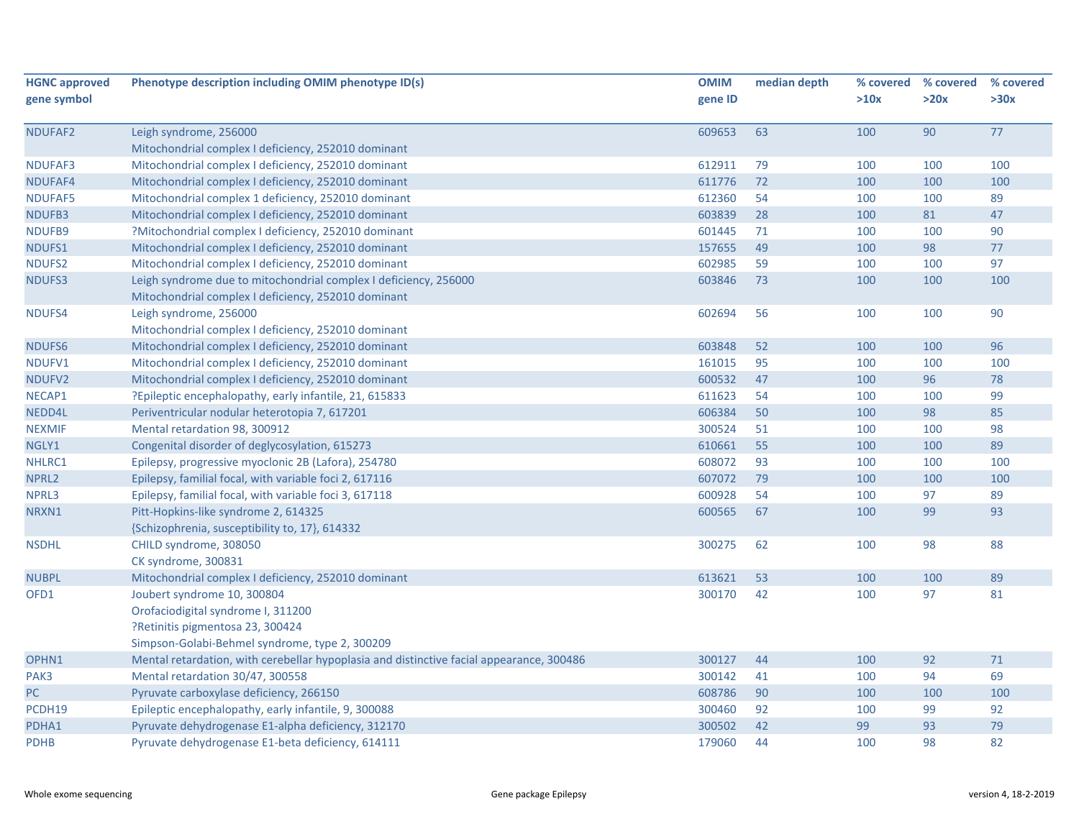| <b>HGNC approved</b> | Phenotype description including OMIM phenotype ID(s)                                     | <b>OMIM</b> | median depth | % covered | % covered | % covered |
|----------------------|------------------------------------------------------------------------------------------|-------------|--------------|-----------|-----------|-----------|
| gene symbol          |                                                                                          | gene ID     |              | >10x      | >20x      | >30x      |
| NDUFAF2              | Leigh syndrome, 256000                                                                   | 609653      | 63           | 100       | 90        | 77        |
|                      | Mitochondrial complex I deficiency, 252010 dominant                                      |             |              |           |           |           |
| NDUFAF3              | Mitochondrial complex I deficiency, 252010 dominant                                      | 612911      | 79           | 100       | 100       | 100       |
| NDUFAF4              | Mitochondrial complex I deficiency, 252010 dominant                                      | 611776      | 72           | 100       | 100       | 100       |
| <b>NDUFAF5</b>       | Mitochondrial complex 1 deficiency, 252010 dominant                                      | 612360      | 54           | 100       | 100       | 89        |
| NDUFB3               | Mitochondrial complex I deficiency, 252010 dominant                                      | 603839      | 28           | 100       | 81        | 47        |
| NDUFB9               | ?Mitochondrial complex I deficiency, 252010 dominant                                     | 601445      | 71           | 100       | 100       | 90        |
| NDUFS1               | Mitochondrial complex I deficiency, 252010 dominant                                      | 157655      | 49           | 100       | 98        | 77        |
| NDUFS2               | Mitochondrial complex I deficiency, 252010 dominant                                      | 602985      | 59           | 100       | 100       | 97        |
| <b>NDUFS3</b>        | Leigh syndrome due to mitochondrial complex I deficiency, 256000                         | 603846      | 73           | 100       | 100       | 100       |
|                      | Mitochondrial complex I deficiency, 252010 dominant                                      |             |              |           |           |           |
| NDUFS4               | Leigh syndrome, 256000                                                                   | 602694      | 56           | 100       | 100       | 90        |
|                      | Mitochondrial complex I deficiency, 252010 dominant                                      |             |              |           |           |           |
| NDUFS6               | Mitochondrial complex I deficiency, 252010 dominant                                      | 603848      | 52           | 100       | 100       | 96        |
| NDUFV1               | Mitochondrial complex I deficiency, 252010 dominant                                      | 161015      | 95           | 100       | 100       | 100       |
| NDUFV2               | Mitochondrial complex I deficiency, 252010 dominant                                      | 600532      | 47           | 100       | 96        | 78        |
| NECAP1               | ?Epileptic encephalopathy, early infantile, 21, 615833                                   | 611623      | 54           | 100       | 100       | 99        |
| NEDD4L               | Periventricular nodular heterotopia 7, 617201                                            | 606384      | 50           | 100       | 98        | 85        |
| <b>NEXMIF</b>        | Mental retardation 98, 300912                                                            | 300524      | 51           | 100       | 100       | 98        |
| NGLY1                | Congenital disorder of deglycosylation, 615273                                           | 610661      | 55           | 100       | 100       | 89        |
| NHLRC1               | Epilepsy, progressive myoclonic 2B (Lafora), 254780                                      | 608072      | 93           | 100       | 100       | 100       |
| NPRL <sub>2</sub>    | Epilepsy, familial focal, with variable foci 2, 617116                                   | 607072      | 79           | 100       | 100       | 100       |
| NPRL3                | Epilepsy, familial focal, with variable foci 3, 617118                                   | 600928      | 54           | 100       | 97        | 89        |
| NRXN1                | Pitt-Hopkins-like syndrome 2, 614325                                                     | 600565      | 67           | 100       | 99        | 93        |
|                      | {Schizophrenia, susceptibility to, 17}, 614332                                           |             |              |           |           |           |
| <b>NSDHL</b>         | CHILD syndrome, 308050                                                                   | 300275      | 62           | 100       | 98        | 88        |
|                      | CK syndrome, 300831                                                                      |             |              |           |           |           |
| <b>NUBPL</b>         | Mitochondrial complex I deficiency, 252010 dominant                                      | 613621      | 53           | 100       | 100       | 89        |
| OFD1                 | Joubert syndrome 10, 300804                                                              | 300170      | 42           | 100       | 97        | 81        |
|                      | Orofaciodigital syndrome I, 311200                                                       |             |              |           |           |           |
|                      | P. Retinitis pigmentosa 23, 300424                                                       |             |              |           |           |           |
|                      | Simpson-Golabi-Behmel syndrome, type 2, 300209                                           |             |              |           |           |           |
| OPHN1                | Mental retardation, with cerebellar hypoplasia and distinctive facial appearance, 300486 | 300127      | 44           | 100       | 92        | $71\,$    |
| PAK3                 | Mental retardation 30/47, 300558                                                         | 300142      | 41           | 100       | 94        | 69        |
| PC                   | Pyruvate carboxylase deficiency, 266150                                                  | 608786      | 90           | 100       | 100       | 100       |
| PCDH19               | Epileptic encephalopathy, early infantile, 9, 300088                                     | 300460      | 92           | 100       | 99        | 92        |
| PDHA1                | Pyruvate dehydrogenase E1-alpha deficiency, 312170                                       | 300502      | 42           | 99        | 93        | 79        |
| <b>PDHB</b>          | Pyruvate dehydrogenase E1-beta deficiency, 614111                                        | 179060      | 44           | 100       | 98        | 82        |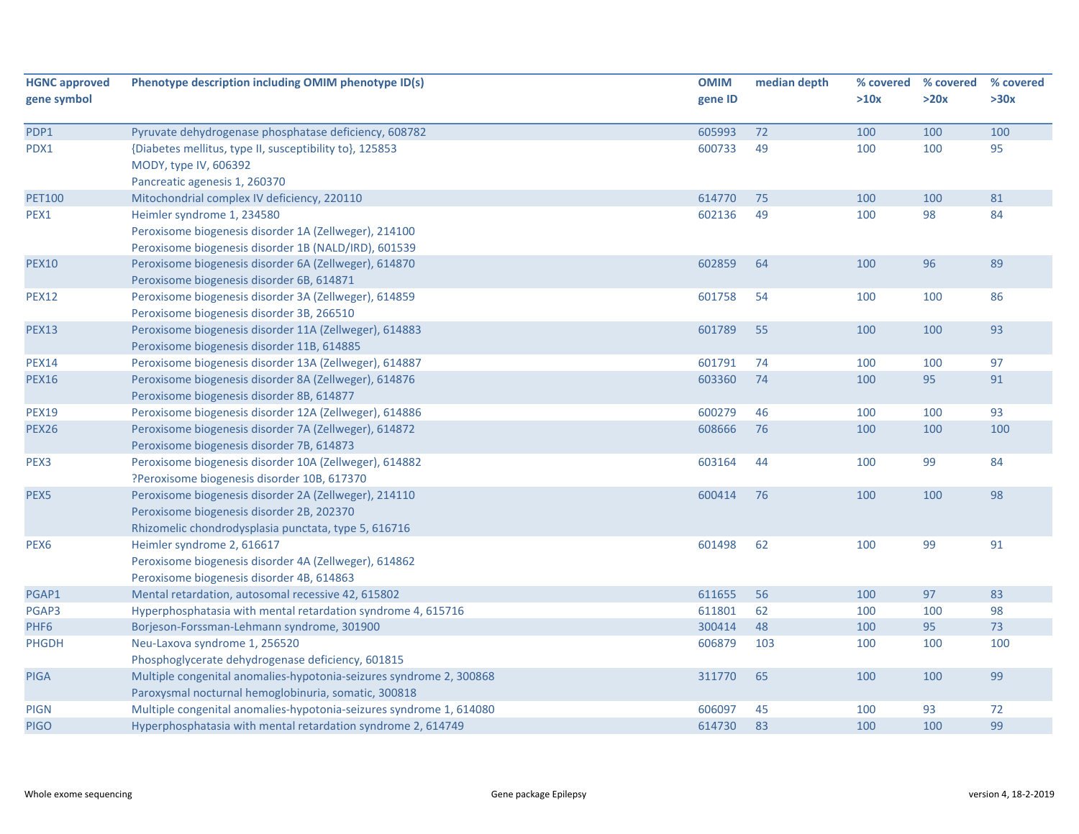| <b>HGNC approved</b> | Phenotype description including OMIM phenotype ID(s)                | <b>OMIM</b> | median depth | % covered | % covered | % covered |
|----------------------|---------------------------------------------------------------------|-------------|--------------|-----------|-----------|-----------|
| gene symbol          |                                                                     | gene ID     |              | >10x      | >20x      | >30x      |
| PDP1                 | Pyruvate dehydrogenase phosphatase deficiency, 608782               | 605993      | 72           | 100       | 100       | 100       |
| PDX1                 | {Diabetes mellitus, type II, susceptibility to}, 125853             | 600733      | 49           | 100       | 100       | 95        |
|                      | MODY, type IV, 606392                                               |             |              |           |           |           |
|                      | Pancreatic agenesis 1, 260370                                       |             |              |           |           |           |
| <b>PET100</b>        | Mitochondrial complex IV deficiency, 220110                         | 614770      | 75           | 100       | 100       | 81        |
| PEX1                 | Heimler syndrome 1, 234580                                          | 602136      | 49           | 100       | 98        | 84        |
|                      | Peroxisome biogenesis disorder 1A (Zellweger), 214100               |             |              |           |           |           |
|                      | Peroxisome biogenesis disorder 1B (NALD/IRD), 601539                |             |              |           |           |           |
| <b>PEX10</b>         | Peroxisome biogenesis disorder 6A (Zellweger), 614870               | 602859      | 64           | 100       | 96        | 89        |
|                      | Peroxisome biogenesis disorder 6B, 614871                           |             |              |           |           |           |
| <b>PEX12</b>         | Peroxisome biogenesis disorder 3A (Zellweger), 614859               | 601758      | 54           | 100       | 100       | 86        |
|                      | Peroxisome biogenesis disorder 3B, 266510                           |             |              |           |           |           |
| <b>PEX13</b>         | Peroxisome biogenesis disorder 11A (Zellweger), 614883              | 601789      | 55           | 100       | 100       | 93        |
|                      | Peroxisome biogenesis disorder 11B, 614885                          |             |              |           |           |           |
| <b>PEX14</b>         | Peroxisome biogenesis disorder 13A (Zellweger), 614887              | 601791      | 74           | 100       | 100       | 97        |
| <b>PEX16</b>         | Peroxisome biogenesis disorder 8A (Zellweger), 614876               | 603360      | 74           | 100       | 95        | 91        |
|                      | Peroxisome biogenesis disorder 8B, 614877                           |             |              |           |           |           |
| <b>PEX19</b>         | Peroxisome biogenesis disorder 12A (Zellweger), 614886              | 600279      | 46           | 100       | 100       | 93        |
| <b>PEX26</b>         | Peroxisome biogenesis disorder 7A (Zellweger), 614872               | 608666      | 76           | 100       | 100       | 100       |
|                      | Peroxisome biogenesis disorder 7B, 614873                           |             |              |           |           |           |
| PEX3                 | Peroxisome biogenesis disorder 10A (Zellweger), 614882              | 603164      | 44           | 100       | 99        | 84        |
|                      | ?Peroxisome biogenesis disorder 10B, 617370                         |             |              |           |           |           |
| PEX5                 | Peroxisome biogenesis disorder 2A (Zellweger), 214110               | 600414      | 76           | 100       | 100       | 98        |
|                      | Peroxisome biogenesis disorder 2B, 202370                           |             |              |           |           |           |
|                      | Rhizomelic chondrodysplasia punctata, type 5, 616716                |             |              |           |           |           |
| PEX <sub>6</sub>     | Heimler syndrome 2, 616617                                          | 601498      | 62           | 100       | 99        | 91        |
|                      | Peroxisome biogenesis disorder 4A (Zellweger), 614862               |             |              |           |           |           |
|                      | Peroxisome biogenesis disorder 4B, 614863                           |             |              |           |           |           |
| PGAP1                | Mental retardation, autosomal recessive 42, 615802                  | 611655      | 56           | 100       | 97        | 83        |
| PGAP3                | Hyperphosphatasia with mental retardation syndrome 4, 615716        | 611801      | 62           | 100       | 100       | 98        |
| PHF <sub>6</sub>     | Borjeson-Forssman-Lehmann syndrome, 301900                          | 300414      | 48           | 100       | 95        | 73        |
| <b>PHGDH</b>         | Neu-Laxova syndrome 1, 256520                                       | 606879      | 103          | 100       | 100       | 100       |
|                      | Phosphoglycerate dehydrogenase deficiency, 601815                   |             |              |           |           |           |
| <b>PIGA</b>          | Multiple congenital anomalies-hypotonia-seizures syndrome 2, 300868 | 311770      | 65           | 100       | 100       | 99        |
|                      | Paroxysmal nocturnal hemoglobinuria, somatic, 300818                |             |              |           |           |           |
| <b>PIGN</b>          | Multiple congenital anomalies-hypotonia-seizures syndrome 1, 614080 | 606097      | 45           | 100       | 93        | 72        |
| <b>PIGO</b>          | Hyperphosphatasia with mental retardation syndrome 2, 614749        | 614730      | 83           | 100       | 100       | 99        |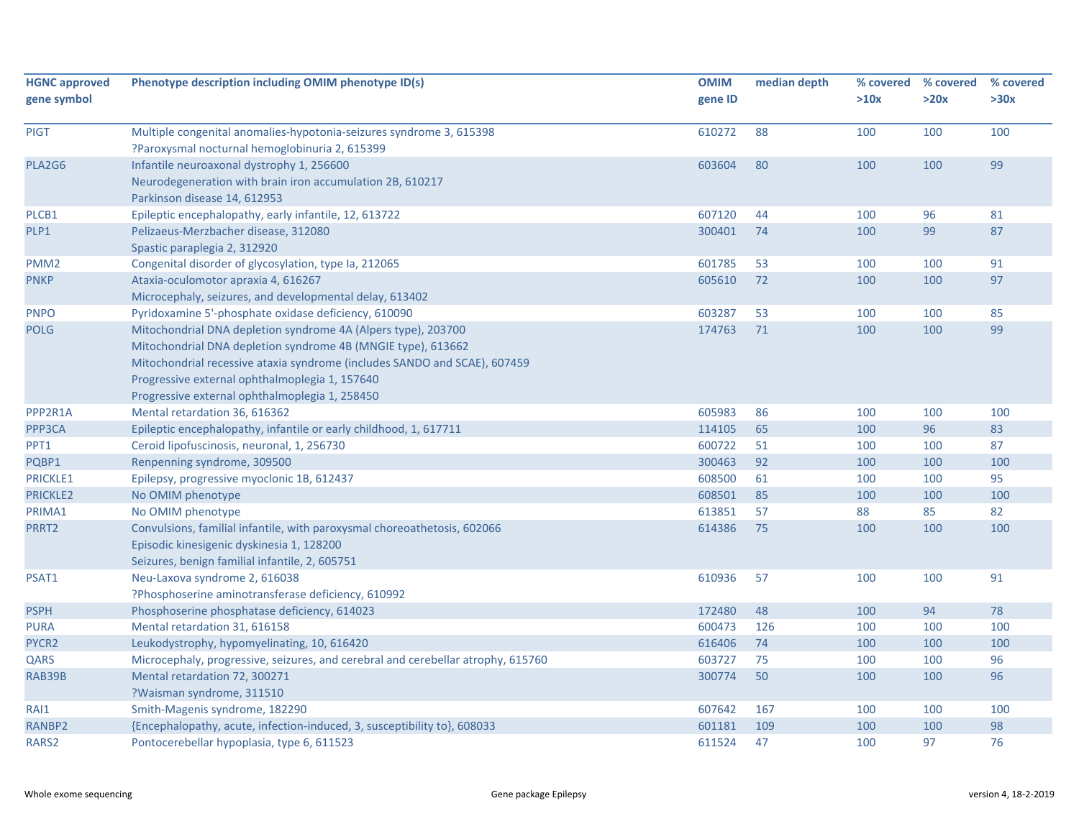| <b>HGNC approved</b><br>gene symbol | Phenotype description including OMIM phenotype ID(s)                                                                                                                                                                                                                                                           | <b>OMIM</b><br>gene ID | median depth | % covered<br>>10x | % covered<br>>20x | % covered<br>>30x |
|-------------------------------------|----------------------------------------------------------------------------------------------------------------------------------------------------------------------------------------------------------------------------------------------------------------------------------------------------------------|------------------------|--------------|-------------------|-------------------|-------------------|
|                                     |                                                                                                                                                                                                                                                                                                                |                        |              |                   |                   |                   |
| <b>PIGT</b>                         | Multiple congenital anomalies-hypotonia-seizures syndrome 3, 615398<br>?Paroxysmal nocturnal hemoglobinuria 2, 615399                                                                                                                                                                                          | 610272                 | 88           | 100               | 100               | 100               |
| PLA2G6                              | Infantile neuroaxonal dystrophy 1, 256600<br>Neurodegeneration with brain iron accumulation 2B, 610217<br>Parkinson disease 14, 612953                                                                                                                                                                         | 603604                 | 80           | 100               | 100               | 99                |
| PLCB1                               | Epileptic encephalopathy, early infantile, 12, 613722                                                                                                                                                                                                                                                          | 607120                 | 44           | 100               | 96                | 81                |
| PLP1                                | Pelizaeus-Merzbacher disease, 312080<br>Spastic paraplegia 2, 312920                                                                                                                                                                                                                                           | 300401                 | 74           | 100               | 99                | 87                |
| PMM <sub>2</sub>                    | Congenital disorder of glycosylation, type Ia, 212065                                                                                                                                                                                                                                                          | 601785                 | 53           | 100               | 100               | 91                |
| <b>PNKP</b>                         | Ataxia-oculomotor apraxia 4, 616267<br>Microcephaly, seizures, and developmental delay, 613402                                                                                                                                                                                                                 | 605610                 | 72           | 100               | 100               | 97                |
| <b>PNPO</b>                         | Pyridoxamine 5'-phosphate oxidase deficiency, 610090                                                                                                                                                                                                                                                           | 603287                 | 53           | 100               | 100               | 85                |
| <b>POLG</b>                         | Mitochondrial DNA depletion syndrome 4A (Alpers type), 203700<br>Mitochondrial DNA depletion syndrome 4B (MNGIE type), 613662<br>Mitochondrial recessive ataxia syndrome (includes SANDO and SCAE), 607459<br>Progressive external ophthalmoplegia 1, 157640<br>Progressive external ophthalmoplegia 1, 258450 | 174763                 | 71           | 100               | 100               | 99                |
| PPP2R1A                             | Mental retardation 36, 616362                                                                                                                                                                                                                                                                                  | 605983                 | 86           | 100               | 100               | 100               |
| PPP3CA                              | Epileptic encephalopathy, infantile or early childhood, 1, 617711                                                                                                                                                                                                                                              | 114105                 | 65           | 100               | 96                | 83                |
| PPT1                                | Ceroid lipofuscinosis, neuronal, 1, 256730                                                                                                                                                                                                                                                                     | 600722                 | 51           | 100               | 100               | 87                |
| PQBP1                               | Renpenning syndrome, 309500                                                                                                                                                                                                                                                                                    | 300463                 | 92           | 100               | 100               | 100               |
| <b>PRICKLE1</b>                     | Epilepsy, progressive myoclonic 1B, 612437                                                                                                                                                                                                                                                                     | 608500                 | 61           | 100               | 100               | 95                |
| <b>PRICKLE2</b>                     | No OMIM phenotype                                                                                                                                                                                                                                                                                              | 608501                 | 85           | 100               | 100               | 100               |
| PRIMA1                              | No OMIM phenotype                                                                                                                                                                                                                                                                                              | 613851                 | 57           | 88                | 85                | 82                |
| PRRT2                               | Convulsions, familial infantile, with paroxysmal choreoathetosis, 602066<br>Episodic kinesigenic dyskinesia 1, 128200<br>Seizures, benign familial infantile, 2, 605751                                                                                                                                        | 614386                 | 75           | 100               | 100               | 100               |
| PSAT1                               | Neu-Laxova syndrome 2, 616038<br>?Phosphoserine aminotransferase deficiency, 610992                                                                                                                                                                                                                            | 610936                 | 57           | 100               | 100               | 91                |
| <b>PSPH</b>                         | Phosphoserine phosphatase deficiency, 614023                                                                                                                                                                                                                                                                   | 172480                 | 48           | 100               | 94                | 78                |
| <b>PURA</b>                         | Mental retardation 31, 616158                                                                                                                                                                                                                                                                                  | 600473                 | 126          | 100               | 100               | 100               |
| PYCR <sub>2</sub>                   | Leukodystrophy, hypomyelinating, 10, 616420                                                                                                                                                                                                                                                                    | 616406                 | 74           | 100               | 100               | 100               |
| QARS                                | Microcephaly, progressive, seizures, and cerebral and cerebellar atrophy, 615760                                                                                                                                                                                                                               | 603727                 | 75           | 100               | 100               | 96                |
| <b>RAB39B</b>                       | Mental retardation 72, 300271<br>?Waisman syndrome, 311510                                                                                                                                                                                                                                                     | 300774                 | 50           | 100               | 100               | 96                |
| RAI1                                | Smith-Magenis syndrome, 182290                                                                                                                                                                                                                                                                                 | 607642                 | 167          | 100               | 100               | 100               |
| RANBP2                              | {Encephalopathy, acute, infection-induced, 3, susceptibility to}, 608033                                                                                                                                                                                                                                       | 601181                 | 109          | 100               | 100               | 98                |
| RARS2                               | Pontocerebellar hypoplasia, type 6, 611523                                                                                                                                                                                                                                                                     | 611524                 | 47           | 100               | 97                | 76                |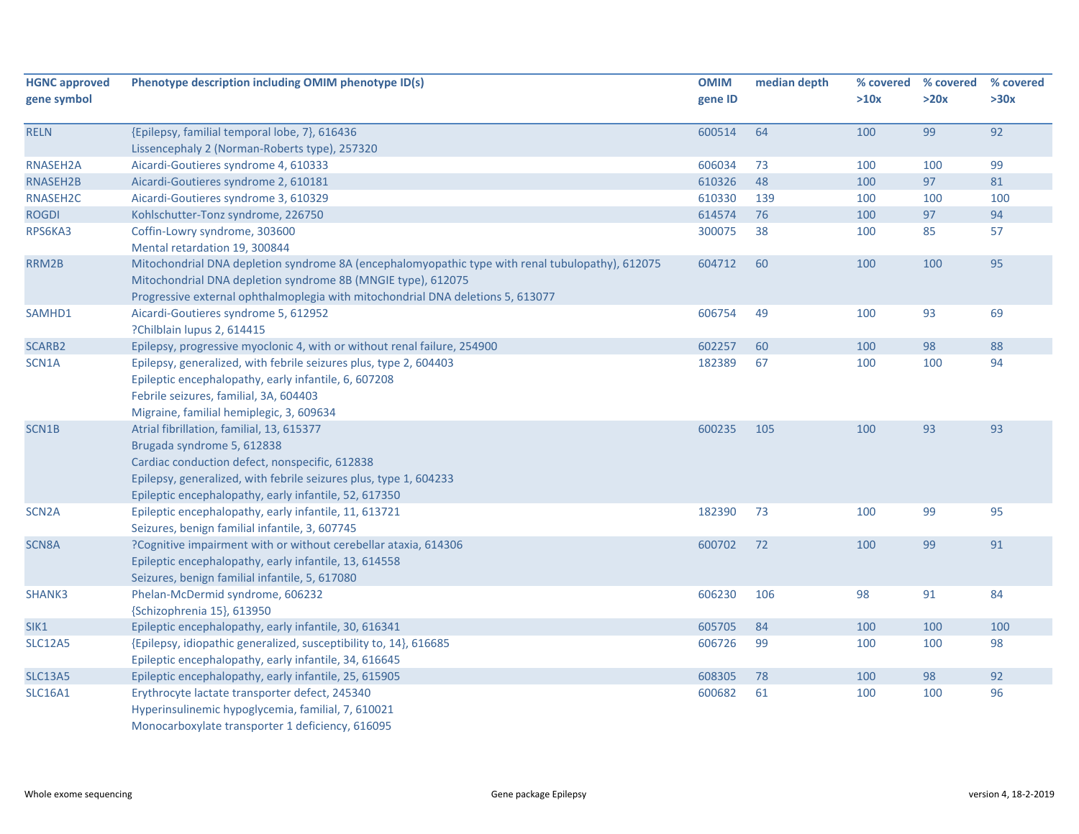| <b>HGNC approved</b><br>gene symbol | Phenotype description including OMIM phenotype ID(s)                                                                                                                                                                                                    | <b>OMIM</b><br>gene ID | median depth | % covered<br>>10x | % covered<br>>20x | % covered<br>>30x |
|-------------------------------------|---------------------------------------------------------------------------------------------------------------------------------------------------------------------------------------------------------------------------------------------------------|------------------------|--------------|-------------------|-------------------|-------------------|
| <b>RELN</b>                         | {Epilepsy, familial temporal lobe, 7}, 616436                                                                                                                                                                                                           | 600514                 | 64           | 100               | 99                | 92                |
|                                     | Lissencephaly 2 (Norman-Roberts type), 257320                                                                                                                                                                                                           |                        |              |                   |                   |                   |
| RNASEH2A                            | Aicardi-Goutieres syndrome 4, 610333                                                                                                                                                                                                                    | 606034                 | 73           | 100               | 100               | 99                |
| RNASEH2B                            | Aicardi-Goutieres syndrome 2, 610181                                                                                                                                                                                                                    | 610326                 | 48           | 100               | 97                | 81                |
| RNASEH2C                            | Aicardi-Goutieres syndrome 3, 610329                                                                                                                                                                                                                    | 610330                 | 139          | 100               | 100               | 100               |
| <b>ROGDI</b>                        | Kohlschutter-Tonz syndrome, 226750                                                                                                                                                                                                                      | 614574                 | 76           | 100               | 97                | 94                |
| RPS6KA3                             | Coffin-Lowry syndrome, 303600                                                                                                                                                                                                                           | 300075                 | 38           | 100               | 85                | 57                |
|                                     | Mental retardation 19, 300844                                                                                                                                                                                                                           |                        |              |                   |                   |                   |
| RRM2B                               | Mitochondrial DNA depletion syndrome 8A (encephalomyopathic type with renal tubulopathy), 612075<br>Mitochondrial DNA depletion syndrome 8B (MNGIE type), 612075<br>Progressive external ophthalmoplegia with mitochondrial DNA deletions 5, 613077     | 604712                 | 60           | 100               | 100               | 95                |
| SAMHD1                              | Aicardi-Goutieres syndrome 5, 612952<br>?Chilblain lupus 2, 614415                                                                                                                                                                                      | 606754                 | 49           | 100               | 93                | 69                |
| SCARB2                              | Epilepsy, progressive myoclonic 4, with or without renal failure, 254900                                                                                                                                                                                | 602257                 | 60           | 100               | 98                | 88                |
| SCN1A                               | Epilepsy, generalized, with febrile seizures plus, type 2, 604403<br>Epileptic encephalopathy, early infantile, 6, 607208<br>Febrile seizures, familial, 3A, 604403<br>Migraine, familial hemiplegic, 3, 609634                                         | 182389                 | 67           | 100               | 100               | 94                |
| SCN1B                               | Atrial fibrillation, familial, 13, 615377<br>Brugada syndrome 5, 612838<br>Cardiac conduction defect, nonspecific, 612838<br>Epilepsy, generalized, with febrile seizures plus, type 1, 604233<br>Epileptic encephalopathy, early infantile, 52, 617350 | 600235                 | 105          | 100               | 93                | 93                |
| SCN <sub>2</sub> A                  | Epileptic encephalopathy, early infantile, 11, 613721<br>Seizures, benign familial infantile, 3, 607745                                                                                                                                                 | 182390                 | 73           | 100               | 99                | 95                |
| SCN8A                               | ?Cognitive impairment with or without cerebellar ataxia, 614306<br>Epileptic encephalopathy, early infantile, 13, 614558<br>Seizures, benign familial infantile, 5, 617080                                                                              | 600702                 | 72           | 100               | 99                | 91                |
| SHANK3                              | Phelan-McDermid syndrome, 606232<br>{Schizophrenia 15}, 613950                                                                                                                                                                                          | 606230                 | 106          | 98                | 91                | 84                |
| SIK1                                | Epileptic encephalopathy, early infantile, 30, 616341                                                                                                                                                                                                   | 605705                 | 84           | 100               | 100               | 100               |
| <b>SLC12A5</b>                      | {Epilepsy, idiopathic generalized, susceptibility to, 14}, 616685<br>Epileptic encephalopathy, early infantile, 34, 616645                                                                                                                              | 606726                 | 99           | 100               | 100               | 98                |
| <b>SLC13A5</b>                      | Epileptic encephalopathy, early infantile, 25, 615905                                                                                                                                                                                                   | 608305                 | 78           | 100               | 98                | 92                |
| <b>SLC16A1</b>                      | Erythrocyte lactate transporter defect, 245340<br>Hyperinsulinemic hypoglycemia, familial, 7, 610021<br>Monocarboxylate transporter 1 deficiency, 616095                                                                                                | 600682                 | 61           | 100               | 100               | 96                |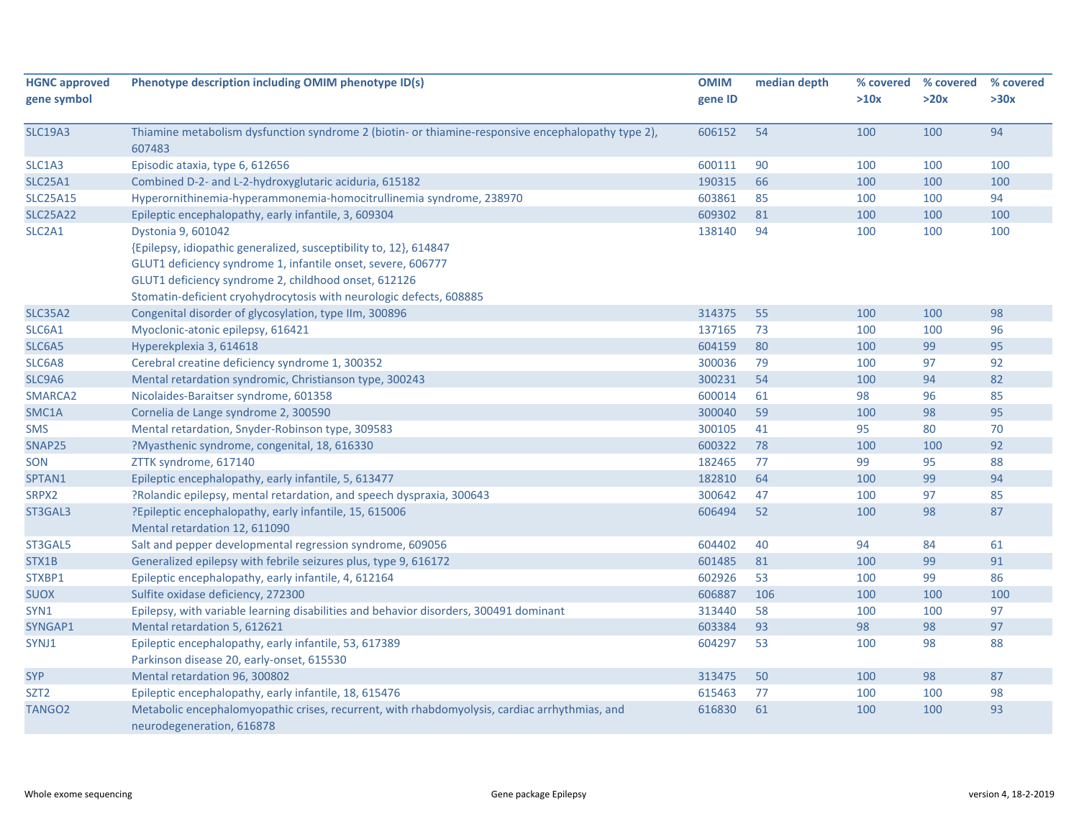| <b>HGNC approved</b> | Phenotype description including OMIM phenotype ID(s)                                                                       | <b>OMIM</b> | median depth | % covered | % covered | % covered |
|----------------------|----------------------------------------------------------------------------------------------------------------------------|-------------|--------------|-----------|-----------|-----------|
| gene symbol          |                                                                                                                            | gene ID     |              | >10x      | >20x      | >30x      |
| <b>SLC19A3</b>       | Thiamine metabolism dysfunction syndrome 2 (biotin- or thiamine-responsive encephalopathy type 2),<br>607483               | 606152      | 54           | 100       | 100       | 94        |
| SLC1A3               | Episodic ataxia, type 6, 612656                                                                                            | 600111      | 90           | 100       | 100       | 100       |
| <b>SLC25A1</b>       | Combined D-2- and L-2-hydroxyglutaric aciduria, 615182                                                                     | 190315      | 66           | 100       | 100       | 100       |
| <b>SLC25A15</b>      | Hyperornithinemia-hyperammonemia-homocitrullinemia syndrome, 238970                                                        | 603861      | 85           | 100       | 100       | 94        |
| <b>SLC25A22</b>      | Epileptic encephalopathy, early infantile, 3, 609304                                                                       | 609302      | 81           | 100       | 100       | 100       |
| SLC2A1               | Dystonia 9, 601042                                                                                                         | 138140      | 94           | 100       | 100       | 100       |
|                      | {Epilepsy, idiopathic generalized, susceptibility to, 12}, 614847                                                          |             |              |           |           |           |
|                      | GLUT1 deficiency syndrome 1, infantile onset, severe, 606777                                                               |             |              |           |           |           |
|                      | GLUT1 deficiency syndrome 2, childhood onset, 612126                                                                       |             |              |           |           |           |
|                      | Stomatin-deficient cryohydrocytosis with neurologic defects, 608885                                                        |             |              |           |           |           |
| <b>SLC35A2</b>       | Congenital disorder of glycosylation, type IIm, 300896                                                                     | 314375      | 55           | 100       | 100       | 98        |
| SLC6A1               | Myoclonic-atonic epilepsy, 616421                                                                                          | 137165      | 73           | 100       | 100       | 96        |
| SLC6A5               | Hyperekplexia 3, 614618                                                                                                    | 604159      | 80           | 100       | 99        | 95        |
| SLC6A8               | Cerebral creatine deficiency syndrome 1, 300352                                                                            | 300036      | 79           | 100       | 97        | 92        |
| SLC9A6               | Mental retardation syndromic, Christianson type, 300243                                                                    | 300231      | 54           | 100       | 94        | 82        |
| SMARCA2              | Nicolaides-Baraitser syndrome, 601358                                                                                      | 600014      | 61           | 98        | 96        | 85        |
| SMC1A                | Cornelia de Lange syndrome 2, 300590                                                                                       | 300040      | 59           | 100       | 98        | 95        |
| <b>SMS</b>           | Mental retardation, Snyder-Robinson type, 309583                                                                           | 300105      | 41           | 95        | 80        | 70        |
| SNAP25               | ?Myasthenic syndrome, congenital, 18, 616330                                                                               | 600322      | 78           | 100       | 100       | 92        |
| SON                  | ZTTK syndrome, 617140                                                                                                      | 182465      | 77           | 99        | 95        | 88        |
| SPTAN1               | Epileptic encephalopathy, early infantile, 5, 613477                                                                       | 182810      | 64           | 100       | 99        | 94        |
| SRPX2                | ?Rolandic epilepsy, mental retardation, and speech dyspraxia, 300643                                                       | 300642      | 47           | 100       | 97        | 85        |
| ST3GAL3              | ?Epileptic encephalopathy, early infantile, 15, 615006                                                                     | 606494      | 52           | 100       | 98        | 87        |
|                      | Mental retardation 12, 611090                                                                                              |             |              |           |           |           |
| ST3GAL5              | Salt and pepper developmental regression syndrome, 609056                                                                  | 604402      | 40           | 94        | 84        | 61        |
| STX1B                | Generalized epilepsy with febrile seizures plus, type 9, 616172                                                            | 601485      | 81           | 100       | 99        | 91        |
| STXBP1               | Epileptic encephalopathy, early infantile, 4, 612164                                                                       | 602926      | 53           | 100       | 99        | 86        |
| <b>SUOX</b>          | Sulfite oxidase deficiency, 272300                                                                                         | 606887      | 106          | 100       | 100       | 100       |
| SYN1                 | Epilepsy, with variable learning disabilities and behavior disorders, 300491 dominant                                      | 313440      | 58           | 100       | 100       | 97        |
| SYNGAP1              | Mental retardation 5, 612621                                                                                               | 603384      | 93           | 98        | 98        | 97        |
| SYNJ1                | Epileptic encephalopathy, early infantile, 53, 617389                                                                      | 604297      | 53           | 100       | 98        | 88        |
|                      | Parkinson disease 20, early-onset, 615530                                                                                  |             |              |           |           |           |
| <b>SYP</b>           | Mental retardation 96, 300802                                                                                              | 313475      | 50           | 100       | 98        | 87        |
| SZT <sub>2</sub>     | Epileptic encephalopathy, early infantile, 18, 615476                                                                      | 615463      | 77           | 100       | 100       | 98        |
| TANGO <sub>2</sub>   | Metabolic encephalomyopathic crises, recurrent, with rhabdomyolysis, cardiac arrhythmias, and<br>neurodegeneration, 616878 | 616830      | 61           | 100       | 100       | 93        |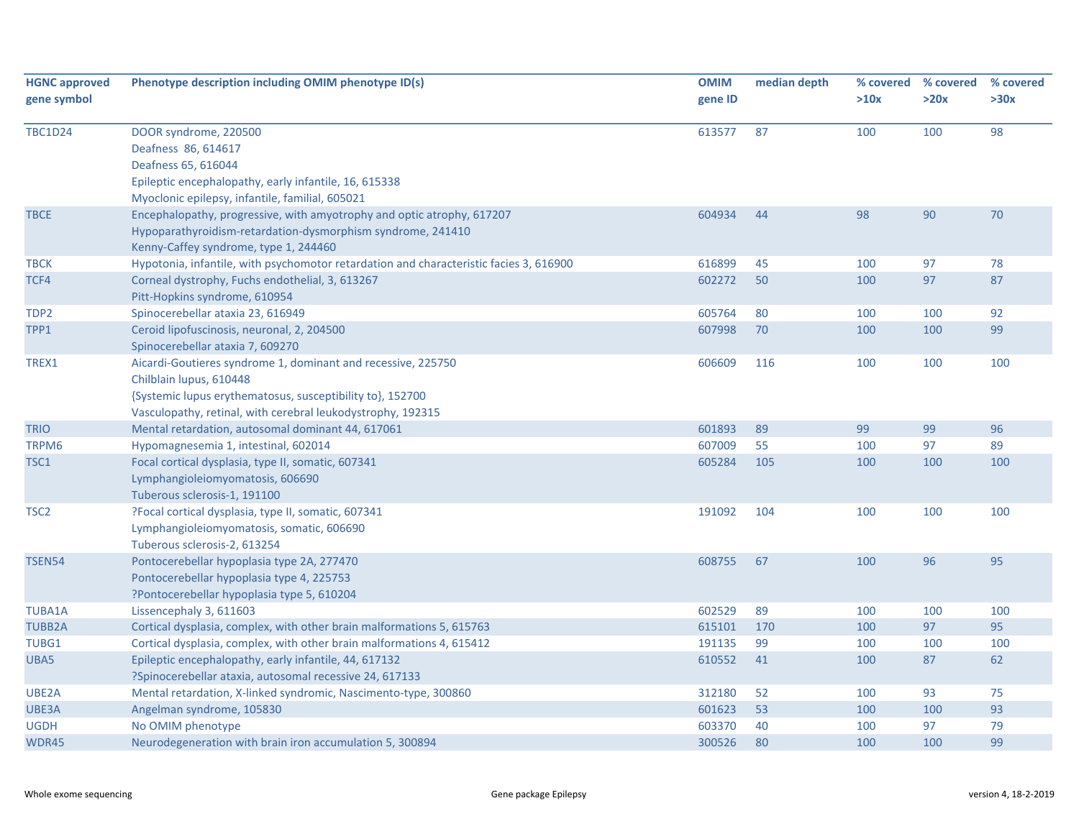| <b>HGNC approved</b><br>gene symbol | Phenotype description including OMIM phenotype ID(s)                                   | <b>OMIM</b><br>gene ID | median depth | % covered<br>>10x | % covered<br>>20x | % covered<br>>30x |
|-------------------------------------|----------------------------------------------------------------------------------------|------------------------|--------------|-------------------|-------------------|-------------------|
| <b>TBC1D24</b>                      | DOOR syndrome, 220500                                                                  | 613577                 | 87           | 100               | 100               | 98                |
|                                     | Deafness 86, 614617                                                                    |                        |              |                   |                   |                   |
|                                     | Deafness 65, 616044                                                                    |                        |              |                   |                   |                   |
|                                     | Epileptic encephalopathy, early infantile, 16, 615338                                  |                        |              |                   |                   |                   |
|                                     | Myoclonic epilepsy, infantile, familial, 605021                                        |                        |              |                   |                   |                   |
| <b>TBCE</b>                         | Encephalopathy, progressive, with amyotrophy and optic atrophy, 617207                 | 604934                 | 44           | 98                | 90                | 70                |
|                                     | Hypoparathyroidism-retardation-dysmorphism syndrome, 241410                            |                        |              |                   |                   |                   |
|                                     | Kenny-Caffey syndrome, type 1, 244460                                                  |                        |              |                   |                   |                   |
| <b>TBCK</b>                         | Hypotonia, infantile, with psychomotor retardation and characteristic facies 3, 616900 | 616899                 | 45           | 100               | 97                | 78                |
| TCF4                                | Corneal dystrophy, Fuchs endothelial, 3, 613267                                        | 602272                 | 50           | 100               | 97                | 87                |
|                                     | Pitt-Hopkins syndrome, 610954                                                          |                        |              |                   |                   |                   |
| TDP <sub>2</sub>                    | Spinocerebellar ataxia 23, 616949                                                      | 605764                 | 80           | 100               | 100               | 92                |
| TPP1                                | Ceroid lipofuscinosis, neuronal, 2, 204500                                             | 607998                 | 70           | 100               | 100               | 99                |
|                                     | Spinocerebellar ataxia 7, 609270                                                       |                        |              |                   |                   |                   |
| TREX1                               | Aicardi-Goutieres syndrome 1, dominant and recessive, 225750                           | 606609                 | 116          | 100               | 100               | 100               |
|                                     | Chilblain lupus, 610448                                                                |                        |              |                   |                   |                   |
|                                     | {Systemic lupus erythematosus, susceptibility to}, 152700                              |                        |              |                   |                   |                   |
|                                     | Vasculopathy, retinal, with cerebral leukodystrophy, 192315                            |                        |              |                   |                   |                   |
| <b>TRIO</b>                         | Mental retardation, autosomal dominant 44, 617061                                      | 601893                 | 89           | 99                | 99                | 96                |
| TRPM6                               | Hypomagnesemia 1, intestinal, 602014                                                   | 607009                 | 55           | 100               | 97                | 89                |
| TSC1                                | Focal cortical dysplasia, type II, somatic, 607341                                     | 605284                 | 105          | 100               | 100               | 100               |
|                                     | Lymphangioleiomyomatosis, 606690                                                       |                        |              |                   |                   |                   |
|                                     | Tuberous sclerosis-1, 191100                                                           |                        |              |                   |                   |                   |
| TSC <sub>2</sub>                    | ?Focal cortical dysplasia, type II, somatic, 607341                                    | 191092                 | 104          | 100               | 100               | 100               |
|                                     | Lymphangioleiomyomatosis, somatic, 606690                                              |                        |              |                   |                   |                   |
|                                     | Tuberous sclerosis-2, 613254                                                           |                        |              |                   |                   |                   |
| TSEN54                              | Pontocerebellar hypoplasia type 2A, 277470                                             | 608755                 | 67           | 100               | 96                | 95                |
|                                     | Pontocerebellar hypoplasia type 4, 225753                                              |                        |              |                   |                   |                   |
|                                     | ?Pontocerebellar hypoplasia type 5, 610204                                             |                        |              |                   |                   |                   |
| <b>TUBA1A</b>                       | Lissencephaly 3, 611603                                                                | 602529                 | 89           | 100               | 100               | 100               |
| <b>TUBB2A</b>                       | Cortical dysplasia, complex, with other brain malformations 5, 615763                  | 615101                 | 170          | 100               | 97                | 95                |
| TUBG1                               | Cortical dysplasia, complex, with other brain malformations 4, 615412                  | 191135                 | 99           | 100               | 100               | 100               |
| UBA5                                | Epileptic encephalopathy, early infantile, 44, 617132                                  | 610552                 | 41           | 100               | 87                | 62                |
|                                     | ?Spinocerebellar ataxia, autosomal recessive 24, 617133                                |                        |              |                   |                   |                   |
| UBE2A                               | Mental retardation, X-linked syndromic, Nascimento-type, 300860                        | 312180                 | 52           | 100               | 93                | 75                |
| UBE3A                               | Angelman syndrome, 105830                                                              | 601623                 | 53           | 100               | 100               | 93                |
| <b>UGDH</b>                         | No OMIM phenotype                                                                      | 603370                 | 40           | 100               | 97                | 79                |
| WDR45                               | Neurodegeneration with brain iron accumulation 5, 300894                               | 300526                 | 80           | 100               | 100               | 99                |